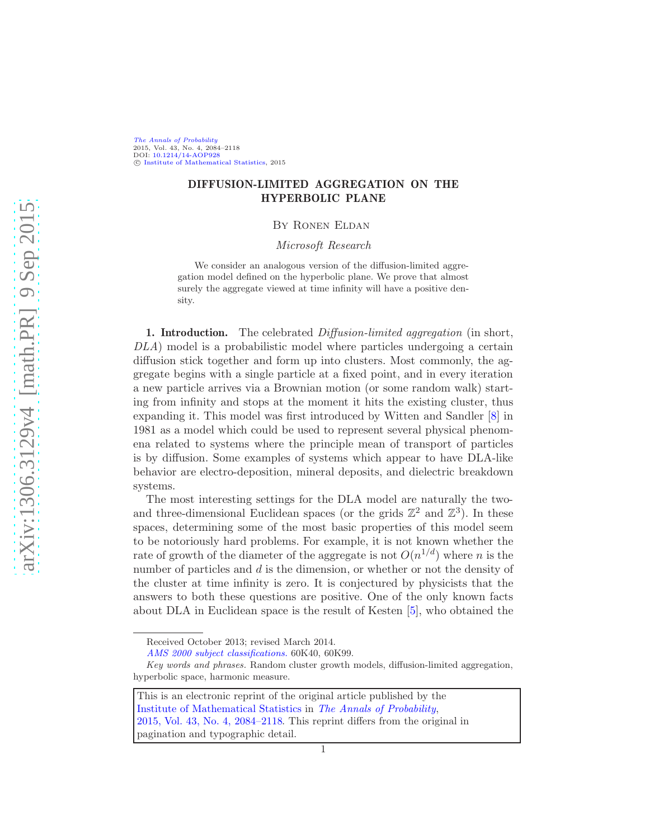[The Annals of Probability](http://www.imstat.org/aop/) 2015, Vol. 43, No. 4, 2084–2118 DOI: [10.1214/14-AOP928](http://dx.doi.org/10.1214/14-AOP928) C [Institute of Mathematical Statistics,](http://www.imstat.org) 2015

# DIFFUSION-LIMITED AGGREGATION ON THE HYPERBOLIC PLANE

#### By Ronen Eldan

### Microsoft Research

We consider an analogous version of the diffusion-limited aggregation model defined on the hyperbolic plane. We prove that almost surely the aggregate viewed at time infinity will have a positive density.

1. Introduction. The celebrated *Diffusion-limited aggregation* (in short, DLA) model is a probabilistic model where particles undergoing a certain diffusion stick together and form up into clusters. Most commonly, the aggregate begins with a single particle at a fixed point, and in every iteration a new particle arrives via a Brownian motion (or some random walk) starting from infinity and stops at the moment it hits the existing cluster, thus expanding it. This model was first introduced by Witten and Sandler [\[8\]](#page-35-0) in 1981 as a model which could be used to represent several physical phenomena related to systems where the principle mean of transport of particles is by diffusion. Some examples of systems which appear to have DLA-like behavior are electro-deposition, mineral deposits, and dielectric breakdown systems.

The most interesting settings for the DLA model are naturally the twoand three-dimensional Euclidean spaces (or the grids  $\mathbb{Z}^2$  and  $\mathbb{Z}^3$ ). In these spaces, determining some of the most basic properties of this model seem to be notoriously hard problems. For example, it is not known whether the rate of growth of the diameter of the aggregate is not  $O(n^{1/d})$  where n is the number of particles and d is the dimension, or whether or not the density of the cluster at time infinity is zero. It is conjectured by physicists that the answers to both these questions are positive. One of the only known facts about DLA in Euclidean space is the result of Kesten [\[5](#page-35-1)], who obtained the

This is an electronic reprint of the original article published by the [Institute of Mathematical Statistics](http://www.imstat.org) in [The Annals of Probability](http://www.imstat.org/aop/), [2015, Vol. 43, No. 4, 2084–2118.](http://dx.doi.org/10.1214/14-AOP928) This reprint differs from the original in pagination and typographic detail.

Received October 2013; revised March 2014.

[AMS 2000 subject classifications.](http://www.ams.org/msc/) 60K40, 60K99.

Key words and phrases. Random cluster growth models, diffusion-limited aggregation, hyperbolic space, harmonic measure.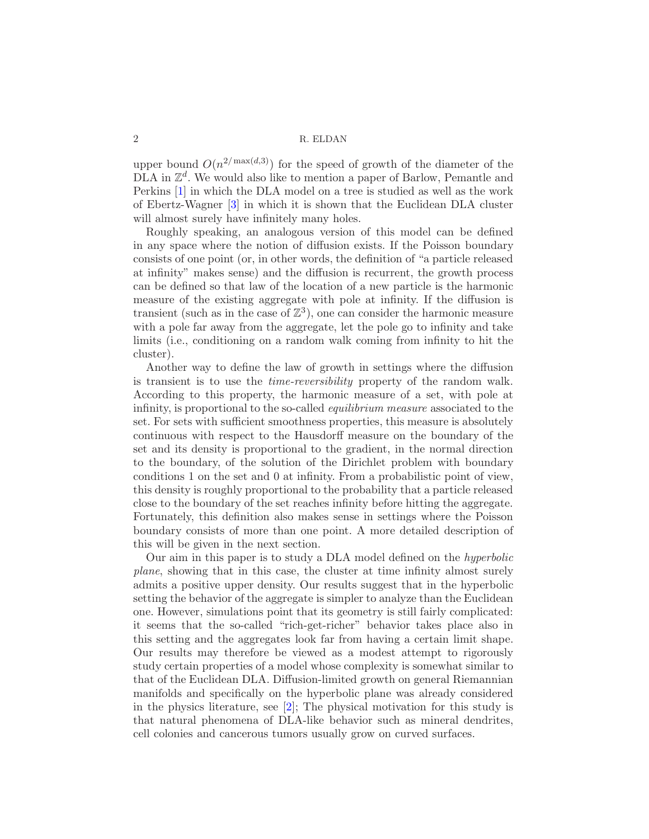upper bound  $O(n^{2/\max(d,3)})$  for the speed of growth of the diameter of the  $\overline{\text{DL}}A$  in  $\mathbb{Z}^d$ . We would also like to mention a paper of Barlow, Pemantle and Perkins [\[1](#page-35-2)] in which the DLA model on a tree is studied as well as the work of Ebertz-Wagner [\[3](#page-35-3)] in which it is shown that the Euclidean DLA cluster will almost surely have infinitely many holes.

Roughly speaking, an analogous version of this model can be defined in any space where the notion of diffusion exists. If the Poisson boundary consists of one point (or, in other words, the definition of "a particle released at infinity" makes sense) and the diffusion is recurrent, the growth process can be defined so that law of the location of a new particle is the harmonic measure of the existing aggregate with pole at infinity. If the diffusion is transient (such as in the case of  $\mathbb{Z}^3$ ), one can consider the harmonic measure with a pole far away from the aggregate, let the pole go to infinity and take limits (i.e., conditioning on a random walk coming from infinity to hit the cluster).

Another way to define the law of growth in settings where the diffusion is transient is to use the *time-reversibility* property of the random walk. According to this property, the harmonic measure of a set, with pole at infinity, is proportional to the so-called equilibrium measure associated to the set. For sets with sufficient smoothness properties, this measure is absolutely continuous with respect to the Hausdorff measure on the boundary of the set and its density is proportional to the gradient, in the normal direction to the boundary, of the solution of the Dirichlet problem with boundary conditions 1 on the set and 0 at infinity. From a probabilistic point of view, this density is roughly proportional to the probability that a particle released close to the boundary of the set reaches infinity before hitting the aggregate. Fortunately, this definition also makes sense in settings where the Poisson boundary consists of more than one point. A more detailed description of this will be given in the next section.

Our aim in this paper is to study a DLA model defined on the hyperbolic plane, showing that in this case, the cluster at time infinity almost surely admits a positive upper density. Our results suggest that in the hyperbolic setting the behavior of the aggregate is simpler to analyze than the Euclidean one. However, simulations point that its geometry is still fairly complicated: it seems that the so-called "rich-get-richer" behavior takes place also in this setting and the aggregates look far from having a certain limit shape. Our results may therefore be viewed as a modest attempt to rigorously study certain properties of a model whose complexity is somewhat similar to that of the Euclidean DLA. Diffusion-limited growth on general Riemannian manifolds and specifically on the hyperbolic plane was already considered in the physics literature, see [\[2](#page-35-4)]; The physical motivation for this study is that natural phenomena of DLA-like behavior such as mineral dendrites, cell colonies and cancerous tumors usually grow on curved surfaces.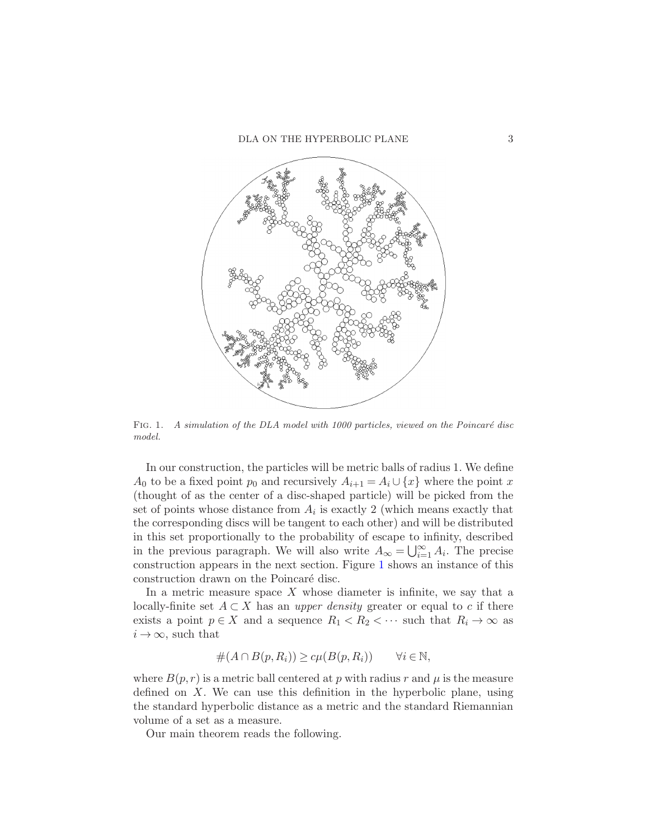

<span id="page-2-0"></span>FIG. 1. A simulation of the DLA model with 1000 particles, viewed on the Poincaré disc model.

In our construction, the particles will be metric balls of radius 1. We define  $A_0$  to be a fixed point  $p_0$  and recursively  $A_{i+1} = A_i \cup \{x\}$  where the point x (thought of as the center of a disc-shaped particle) will be picked from the set of points whose distance from  $A_i$  is exactly 2 (which means exactly that the corresponding discs will be tangent to each other) and will be distributed in this set proportionally to the probability of escape to infinity, described in the previous paragraph. We will also write  $A_{\infty} = \bigcup_{i=1}^{\infty} A_i$ . The precise construction appears in the next section. Figure [1](#page-2-0) shows an instance of this construction drawn on the Poincaré disc.

In a metric measure space  $X$  whose diameter is infinite, we say that a locally-finite set  $A \subset X$  has an upper density greater or equal to c if there exists a point  $p \in X$  and a sequence  $R_1 < R_2 < \cdots$  such that  $R_i \to \infty$  as  $i \rightarrow \infty$ , such that

$$
#(A \cap B(p, R_i)) \ge c\mu(B(p, R_i)) \qquad \forall i \in \mathbb{N},
$$

where  $B(p,r)$  is a metric ball centered at p with radius r and  $\mu$  is the measure defined on  $X$ . We can use this definition in the hyperbolic plane, using the standard hyperbolic distance as a metric and the standard Riemannian volume of a set as a measure.

<span id="page-2-1"></span>Our main theorem reads the following.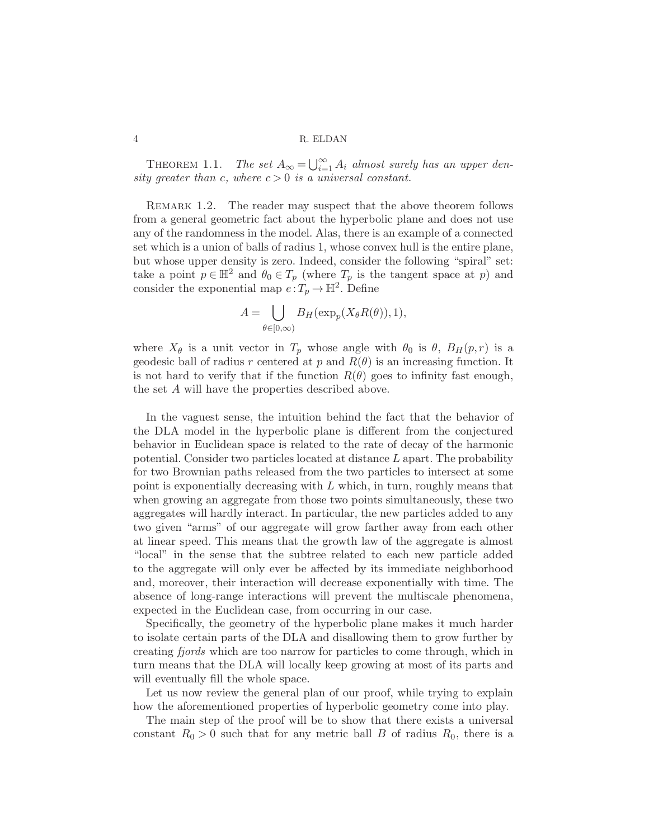THEOREM 1.1. The set  $A_{\infty} = \bigcup_{i=1}^{\infty} A_i$  almost surely has an upper density greater than c, where  $c > 0$  is a universal constant.

REMARK 1.2. The reader may suspect that the above theorem follows from a general geometric fact about the hyperbolic plane and does not use any of the randomness in the model. Alas, there is an example of a connected set which is a union of balls of radius 1, whose convex hull is the entire plane, but whose upper density is zero. Indeed, consider the following "spiral" set: take a point  $p \in \mathbb{H}^2$  and  $\theta_0 \in T_p$  (where  $T_p$  is the tangent space at p) and consider the exponential map  $e:\mathcal{T}_p \to \mathbb{H}^2$ . Define

$$
A = \bigcup_{\theta \in [0,\infty)} B_H(\exp_p(X_{\theta}R(\theta)), 1),
$$

where  $X_{\theta}$  is a unit vector in  $T_p$  whose angle with  $\theta_0$  is  $\theta$ ,  $B_H(p,r)$  is a geodesic ball of radius r centered at p and  $R(\theta)$  is an increasing function. It is not hard to verify that if the function  $R(\theta)$  goes to infinity fast enough, the set A will have the properties described above.

In the vaguest sense, the intuition behind the fact that the behavior of the DLA model in the hyperbolic plane is different from the conjectured behavior in Euclidean space is related to the rate of decay of the harmonic potential. Consider two particles located at distance L apart. The probability for two Brownian paths released from the two particles to intersect at some point is exponentially decreasing with  $L$  which, in turn, roughly means that when growing an aggregate from those two points simultaneously, these two aggregates will hardly interact. In particular, the new particles added to any two given "arms" of our aggregate will grow farther away from each other at linear speed. This means that the growth law of the aggregate is almost "local" in the sense that the subtree related to each new particle added to the aggregate will only ever be affected by its immediate neighborhood and, moreover, their interaction will decrease exponentially with time. The absence of long-range interactions will prevent the multiscale phenomena, expected in the Euclidean case, from occurring in our case.

Specifically, the geometry of the hyperbolic plane makes it much harder to isolate certain parts of the DLA and disallowing them to grow further by creating fjords which are too narrow for particles to come through, which in turn means that the DLA will locally keep growing at most of its parts and will eventually fill the whole space.

Let us now review the general plan of our proof, while trying to explain how the aforementioned properties of hyperbolic geometry come into play.

The main step of the proof will be to show that there exists a universal constant  $R_0 > 0$  such that for any metric ball B of radius  $R_0$ , there is a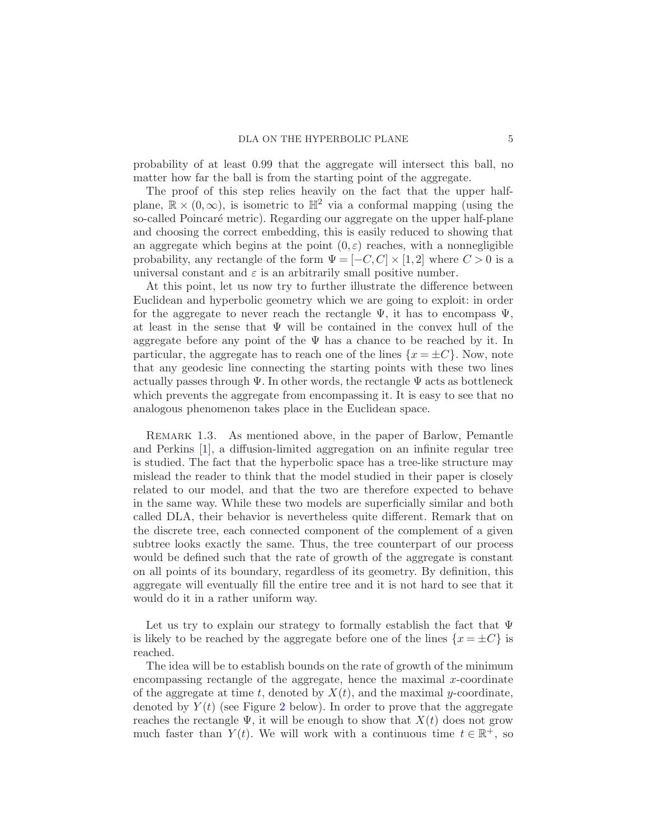probability of at least 0.99 that the aggregate will intersect this ball, no matter how far the ball is from the starting point of the aggregate.

The proof of this step relies heavily on the fact that the upper halfplane,  $\mathbb{R} \times (0,\infty)$ , is isometric to  $\mathbb{H}^2$  via a conformal mapping (using the so-called Poincaré metric). Regarding our aggregate on the upper half-plane and choosing the correct embedding, this is easily reduced to showing that an aggregate which begins at the point  $(0, \varepsilon)$  reaches, with a nonnegligible probability, any rectangle of the form  $\Psi = [-C, C] \times [1, 2]$  where  $C > 0$  is a universal constant and  $\varepsilon$  is an arbitrarily small positive number.

At this point, let us now try to further illustrate the difference between Euclidean and hyperbolic geometry which we are going to exploit: in order for the aggregate to never reach the rectangle  $\Psi$ , it has to encompass  $\Psi$ , at least in the sense that  $\Psi$  will be contained in the convex hull of the aggregate before any point of the  $\Psi$  has a chance to be reached by it. In particular, the aggregate has to reach one of the lines  $\{x = \pm C\}$ . Now, note that any geodesic line connecting the starting points with these two lines actually passes through  $\Psi$ . In other words, the rectangle  $\Psi$  acts as bottleneck which prevents the aggregate from encompassing it. It is easy to see that no analogous phenomenon takes place in the Euclidean space.

Remark 1.3. As mentioned above, in the paper of Barlow, Pemantle and Perkins [\[1](#page-35-2)], a diffusion-limited aggregation on an infinite regular tree is studied. The fact that the hyperbolic space has a tree-like structure may mislead the reader to think that the model studied in their paper is closely related to our model, and that the two are therefore expected to behave in the same way. While these two models are superficially similar and both called DLA, their behavior is nevertheless quite different. Remark that on the discrete tree, each connected component of the complement of a given subtree looks exactly the same. Thus, the tree counterpart of our process would be defined such that the rate of growth of the aggregate is constant on all points of its boundary, regardless of its geometry. By definition, this aggregate will eventually fill the entire tree and it is not hard to see that it would do it in a rather uniform way.

Let us try to explain our strategy to formally establish the fact that  $\Psi$ is likely to be reached by the aggregate before one of the lines  $\{x = \pm C\}$  is reached.

The idea will be to establish bounds on the rate of growth of the minimum encompassing rectangle of the aggregate, hence the maximal  $x$ -coordinate of the aggregate at time t, denoted by  $X(t)$ , and the maximal y-coordinate, denoted by  $Y(t)$  (see Figure [2](#page-5-0) below). In order to prove that the aggregate reaches the rectangle  $\Psi$ , it will be enough to show that  $X(t)$  does not grow much faster than  $Y(t)$ . We will work with a continuous time  $t \in \mathbb{R}^+$ , so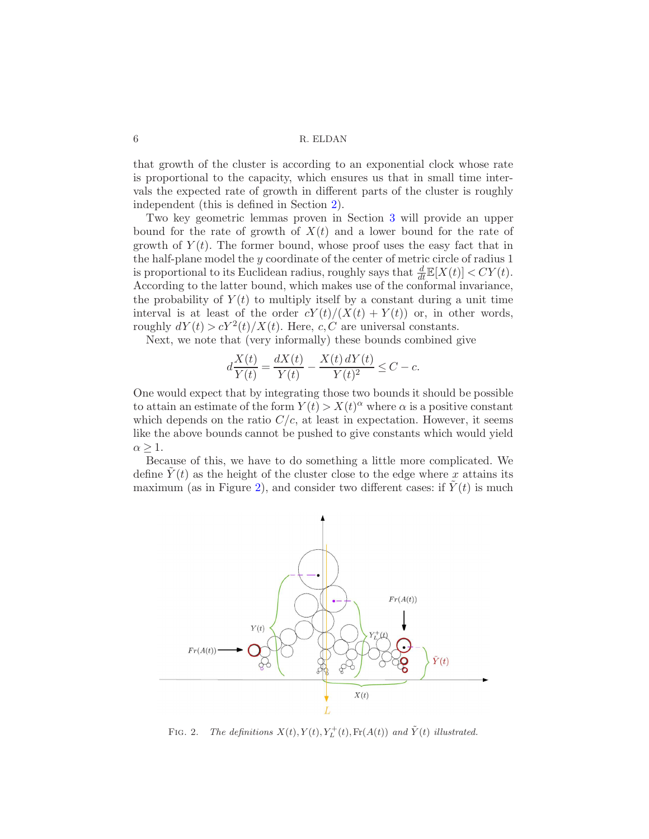that growth of the cluster is according to an exponential clock whose rate is proportional to the capacity, which ensures us that in small time intervals the expected rate of growth in different parts of the cluster is roughly independent (this is defined in Section [2\)](#page-6-0).

Two key geometric lemmas proven in Section [3](#page-11-0) will provide an upper bound for the rate of growth of  $X(t)$  and a lower bound for the rate of growth of  $Y(t)$ . The former bound, whose proof uses the easy fact that in the half-plane model the y coordinate of the center of metric circle of radius 1 is proportional to its Euclidean radius, roughly says that  $\frac{d}{dt}\mathbb{E}[X(t)] < CY(t)$ . According to the latter bound, which makes use of the conformal invariance, the probability of  $Y(t)$  to multiply itself by a constant during a unit time interval is at least of the order  $cY(t)/(X(t) + Y(t))$  or, in other words, roughly  $dY(t) > cY^2(t)/X(t)$ . Here, c, C are universal constants.

Next, we note that (very informally) these bounds combined give

$$
d\frac{X(t)}{Y(t)} = \frac{dX(t)}{Y(t)} - \frac{X(t) dY(t)}{Y(t)^{2}} \le C - c.
$$

One would expect that by integrating those two bounds it should be possible to attain an estimate of the form  $Y(t) > X(t)^\alpha$  where  $\alpha$  is a positive constant which depends on the ratio  $C/c$ , at least in expectation. However, it seems like the above bounds cannot be pushed to give constants which would yield  $\alpha \geq 1$ .

Because of this, we have to do something a little more complicated. We define  $Y(t)$  as the height of the cluster close to the edge where x attains its maximum (as in Figure [2\)](#page-5-0), and consider two different cases: if  $Y(t)$  is much



<span id="page-5-0"></span>FIG. 2. The definitions  $X(t), Y(t), Y_L^+(t), Fr(A(t))$  and  $\tilde{Y}(t)$  illustrated.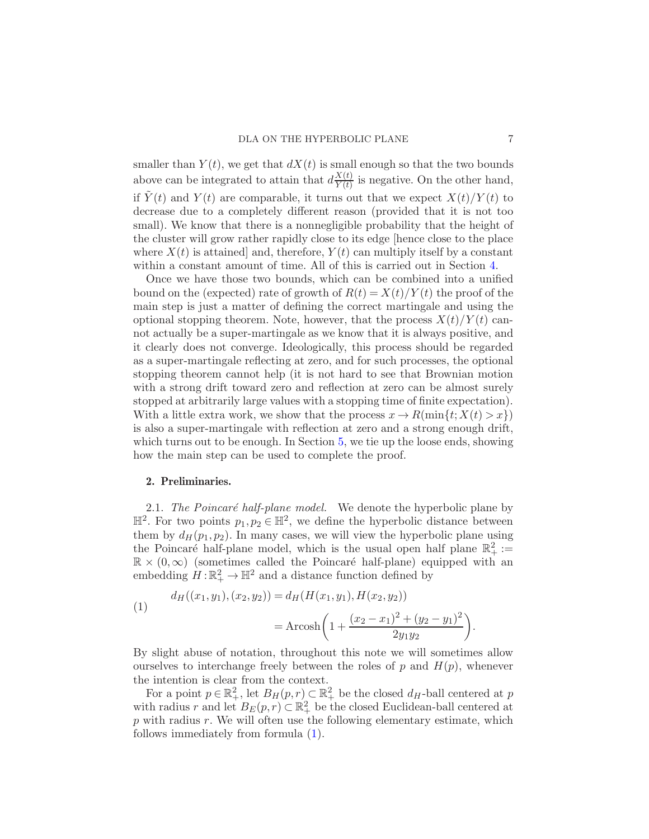smaller than  $Y(t)$ , we get that  $dX(t)$  is small enough so that the two bounds above can be integrated to attain that  $d \frac{X(t)}{Y(t)}$  $\frac{\Lambda(t)}{Y(t)}$  is negative. On the other hand, if  $\overline{Y}(t)$  and  $Y(t)$  are comparable, it turns out that we expect  $X(t)/Y(t)$  to decrease due to a completely different reason (provided that it is not too small). We know that there is a nonnegligible probability that the height of the cluster will grow rather rapidly close to its edge [hence close to the place where  $X(t)$  is attained and, therefore,  $Y(t)$  can multiply itself by a constant within a constant amount of time. All of this is carried out in Section [4.](#page-21-0)

Once we have those two bounds, which can be combined into a unified bound on the (expected) rate of growth of  $R(t) = X(t)/Y(t)$  the proof of the main step is just a matter of defining the correct martingale and using the optional stopping theorem. Note, however, that the process  $X(t)/Y(t)$  cannot actually be a super-martingale as we know that it is always positive, and it clearly does not converge. Ideologically, this process should be regarded as a super-martingale reflecting at zero, and for such processes, the optional stopping theorem cannot help (it is not hard to see that Brownian motion with a strong drift toward zero and reflection at zero can be almost surely stopped at arbitrarily large values with a stopping time of finite expectation). With a little extra work, we show that the process  $x \to R(\min\{t; X(t) > x\})$ is also a super-martingale with reflection at zero and a strong enough drift, which turns out to be enough. In Section [5,](#page-31-0) we tie up the loose ends, showing how the main step can be used to complete the proof.

#### <span id="page-6-0"></span>2. Preliminaries.

2.1. The Poincaré half-plane model. We denote the hyperbolic plane by  $\mathbb{H}^2$ . For two points  $p_1, p_2 \in \mathbb{H}^2$ , we define the hyperbolic distance between them by  $d_H(p_1, p_2)$ . In many cases, we will view the hyperbolic plane using the Poincaré half-plane model, which is the usual open half plane  $\mathbb{R}^2_+ :=$  $\mathbb{R} \times (0,\infty)$  (sometimes called the Poincaré half-plane) equipped with an embedding  $H:\mathbb{R}^2_+ \to \mathbb{H}^2$  and a distance function defined by

<span id="page-6-1"></span>(1) 
$$
d_H((x_1, y_1), (x_2, y_2)) = d_H(H(x_1, y_1), H(x_2, y_2))
$$

$$
= \text{Arcosh}\left(1 + \frac{(x_2 - x_1)^2 + (y_2 - y_1)^2}{2y_1y_2}\right).
$$

By slight abuse of notation, throughout this note we will sometimes allow ourselves to interchange freely between the roles of p and  $H(p)$ , whenever the intention is clear from the context.

<span id="page-6-2"></span>For a point  $p \in \mathbb{R}^2_+$ , let  $B_H(p,r) \subset \mathbb{R}^2_+$  be the closed  $d_H$ -ball centered at p with radius r and let  $B_E(p,r) \subset \mathbb{R}^2_+$  be the closed Euclidean-ball centered at  $p$  with radius  $r$ . We will often use the following elementary estimate, which follows immediately from formula [\(1\)](#page-6-1).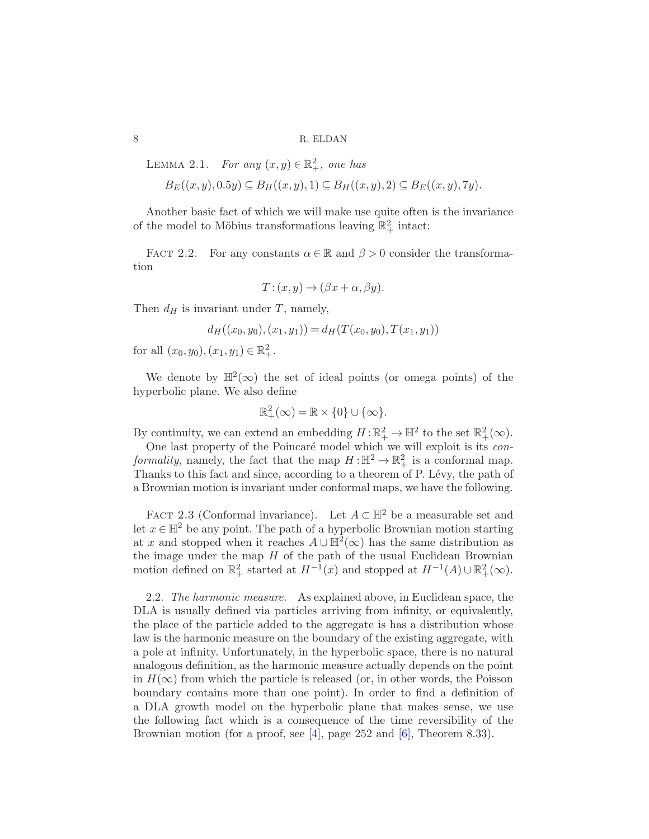LEMMA 2.1. For any  $(x, y) \in \mathbb{R}^2_+$ , one has

$$
B_E((x, y), 0.5y) \subseteq B_H((x, y), 1) \subseteq B_H((x, y), 2) \subseteq B_E((x, y), 7y).
$$

<span id="page-7-1"></span>Another basic fact of which we will make use quite often is the invariance of the model to Möbius transformations leaving  $\mathbb{R}^2_+$  intact:

FACT 2.2. For any constants  $\alpha \in \mathbb{R}$  and  $\beta > 0$  consider the transformation

$$
T: (x, y) \to (\beta x + \alpha, \beta y).
$$

Then  $d_H$  is invariant under T, namely,

$$
d_H((x_0,y_0),(x_1,y_1)) = d_H(T(x_0,y_0),T(x_1,y_1))
$$

for all  $(x_0, y_0), (x_1, y_1) \in \mathbb{R}^2_+.$ 

We denote by  $\mathbb{H}^2(\infty)$  the set of ideal points (or omega points) of the hyperbolic plane. We also define

$$
\mathbb{R}^2_+(\infty) = \mathbb{R} \times \{0\} \cup \{\infty\}.
$$

By continuity, we can extend an embedding  $H: \mathbb{R}_+^2 \to \mathbb{H}^2$  to the set  $\mathbb{R}_+^2(\infty)$ .

One last property of the Poincaré model which we will exploit is its conformality, namely, the fact that the map  $H:\mathbb{H}^2 \to \mathbb{R}^2_+$  is a conformal map. Thanks to this fact and since, according to a theorem of P. Lévy, the path of a Brownian motion is invariant under conformal maps, we have the following.

FACT 2.3 (Conformal invariance). Let  $A \subset \mathbb{H}^2$  be a measurable set and let  $x \in \mathbb{H}^2$  be any point. The path of a hyperbolic Brownian motion starting at x and stopped when it reaches  $A \cup \mathbb{H}^2(\infty)$  has the same distribution as the image under the map  $H$  of the path of the usual Euclidean Brownian motion defined on  $\mathbb{R}^2_+$  started at  $H^{-1}(x)$  and stopped at  $H^{-1}(A) \cup \mathbb{R}^2_+(\infty)$ .

<span id="page-7-0"></span>2.2. The harmonic measure. As explained above, in Euclidean space, the DLA is usually defined via particles arriving from infinity, or equivalently, the place of the particle added to the aggregate is has a distribution whose law is the harmonic measure on the boundary of the existing aggregate, with a pole at infinity. Unfortunately, in the hyperbolic space, there is no natural analogous definition, as the harmonic measure actually depends on the point in  $H(\infty)$  from which the particle is released (or, in other words, the Poisson boundary contains more than one point). In order to find a definition of a DLA growth model on the hyperbolic plane that makes sense, we use the following fact which is a consequence of the time reversibility of the Brownian motion (for a proof, see [\[4\]](#page-35-5), page 252 and [\[6](#page-35-6)], Theorem 8.33).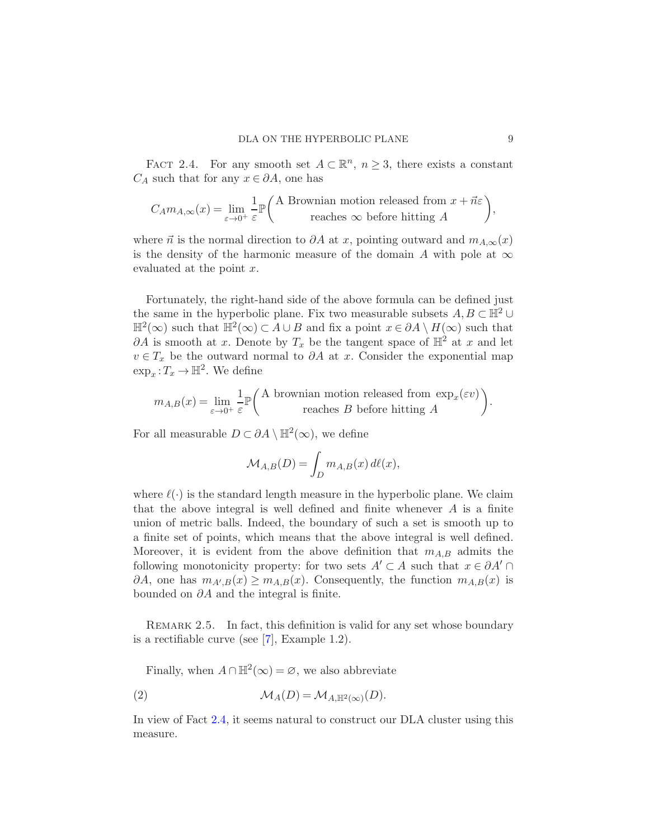FACT 2.4. For any smooth set  $A \subset \mathbb{R}^n$ ,  $n \geq 3$ , there exists a constant  $C_A$  such that for any  $x \in \partial A$ , one has

$$
C_A m_{A,\infty}(x) = \lim_{\varepsilon \to 0^+} \frac{1}{\varepsilon} \mathbb{P}\left(\frac{A \text{ Brownian motion released from } x + \vec{n}\varepsilon}{\text{reaches } \infty \text{ before hitting } A}\right),\,
$$

where  $\vec{n}$  is the normal direction to  $\partial A$  at x, pointing outward and  $m_{A,\infty}(x)$ is the density of the harmonic measure of the domain A with pole at  $\infty$ evaluated at the point x.

Fortunately, the right-hand side of the above formula can be defined just the same in the hyperbolic plane. Fix two measurable subsets  $A, B \subset \mathbb{H}^2 \cup$  $\mathbb{H}^2(\infty)$  such that  $\mathbb{H}^2(\infty) \subset A \cup B$  and fix a point  $x \in \partial A \setminus H(\infty)$  such that  $\partial A$  is smooth at x. Denote by  $T_x$  be the tangent space of  $\mathbb{H}^2$  at x and let  $v \in T_x$  be the outward normal to  $\partial A$  at x. Consider the exponential map  $\exp_x: T_x \to \mathbb{H}^2$ . We define

$$
m_{A,B}(x) = \lim_{\varepsilon \to 0^+} \frac{1}{\varepsilon} \mathbb{P}\left(\frac{A \text{ brownian motion released from } \exp_x(\varepsilon v)}{\text{reaches } B \text{ before hitting } A}\right).
$$

For all measurable  $D \subset \partial A \setminus \mathbb{H}^2(\infty)$ , we define

$$
\mathcal{M}_{A,B}(D) = \int_D m_{A,B}(x) \, d\ell(x),
$$

where  $\ell(\cdot)$  is the standard length measure in the hyperbolic plane. We claim that the above integral is well defined and finite whenever  $A$  is a finite union of metric balls. Indeed, the boundary of such a set is smooth up to a finite set of points, which means that the above integral is well defined. Moreover, it is evident from the above definition that  $m_{A,B}$  admits the following monotonicity property: for two sets  $A' \subset A$  such that  $x \in \partial A' \cap A$  $\partial A$ , one has  $m_{A',B}(x) \geq m_{A,B}(x)$ . Consequently, the function  $m_{A,B}(x)$  is bounded on  $\partial A$  and the integral is finite.

REMARK 2.5. In fact, this definition is valid for any set whose boundary is a rectifiable curve (see [\[7\]](#page-35-7), Example 1.2).

<span id="page-8-0"></span>Finally, when  $A \cap \mathbb{H}^2(\infty) = \emptyset$ , we also abbreviate

(2) 
$$
\mathcal{M}_A(D) = \mathcal{M}_{A,\mathbb{H}^2(\infty)}(D).
$$

In view of Fact [2.4,](#page-7-0) it seems natural to construct our DLA cluster using this measure.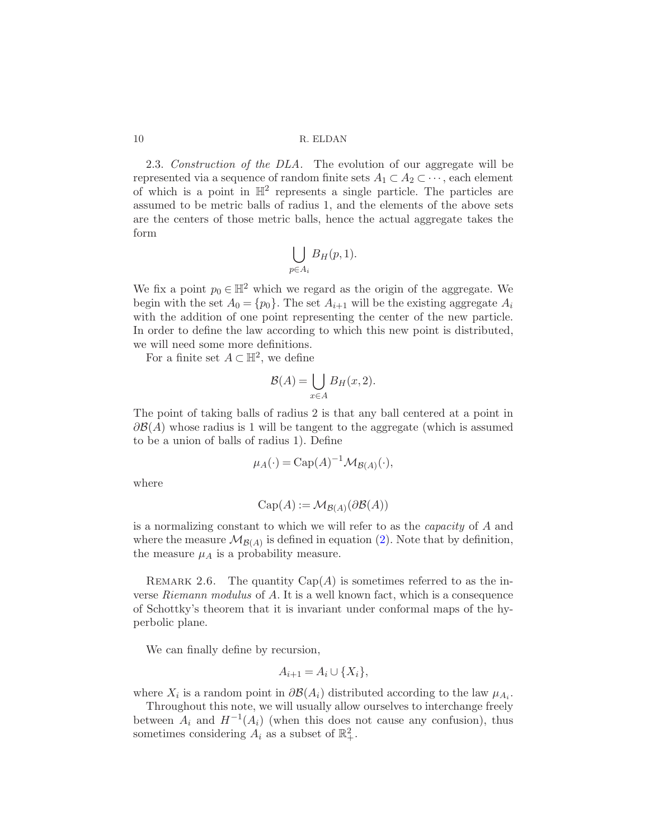2.3. Construction of the DLA. The evolution of our aggregate will be represented via a sequence of random finite sets  $A_1 \subset A_2 \subset \cdots$ , each element of which is a point in  $\mathbb{H}^2$  represents a single particle. The particles are assumed to be metric balls of radius 1, and the elements of the above sets are the centers of those metric balls, hence the actual aggregate takes the form

$$
\bigcup_{p\in A_i}B_H(p,1).
$$

We fix a point  $p_0 \in \mathbb{H}^2$  which we regard as the origin of the aggregate. We begin with the set  $A_0 = \{p_0\}$ . The set  $A_{i+1}$  will be the existing aggregate  $A_i$ with the addition of one point representing the center of the new particle. In order to define the law according to which this new point is distributed, we will need some more definitions.

For a finite set  $A \subset \mathbb{H}^2$ , we define

$$
\mathcal{B}(A) = \bigcup_{x \in A} B_H(x, 2).
$$

The point of taking balls of radius 2 is that any ball centered at a point in  $\partial \mathcal{B}(A)$  whose radius is 1 will be tangent to the aggregate (which is assumed to be a union of balls of radius 1). Define

$$
\mu_A(\cdot) = \text{Cap}(A)^{-1} \mathcal{M}_{\mathcal{B}(A)}(\cdot),
$$

where

$$
\operatorname{Cap}(A) := \mathcal{M}_{\mathcal{B}(A)}(\partial \mathcal{B}(A))
$$

is a normalizing constant to which we will refer to as the capacity of A and where the measure  $\mathcal{M}_{\mathcal{B}(A)}$  is defined in equation [\(2\)](#page-8-0). Note that by definition, the measure  $\mu_A$  is a probability measure.

REMARK 2.6. The quantity  $Cap(A)$  is sometimes referred to as the inverse Riemann modulus of A. It is a well known fact, which is a consequence of Schottky's theorem that it is invariant under conformal maps of the hyperbolic plane.

We can finally define by recursion,

$$
A_{i+1} = A_i \cup \{X_i\},\
$$

where  $X_i$  is a random point in  $\partial \mathcal{B}(A_i)$  distributed according to the law  $\mu_{A_i}$ .

Throughout this note, we will usually allow ourselves to interchange freely between  $A_i$  and  $H^{-1}(A_i)$  (when this does not cause any confusion), thus sometimes considering  $A_i$  as a subset of  $\mathbb{R}^2_+$ .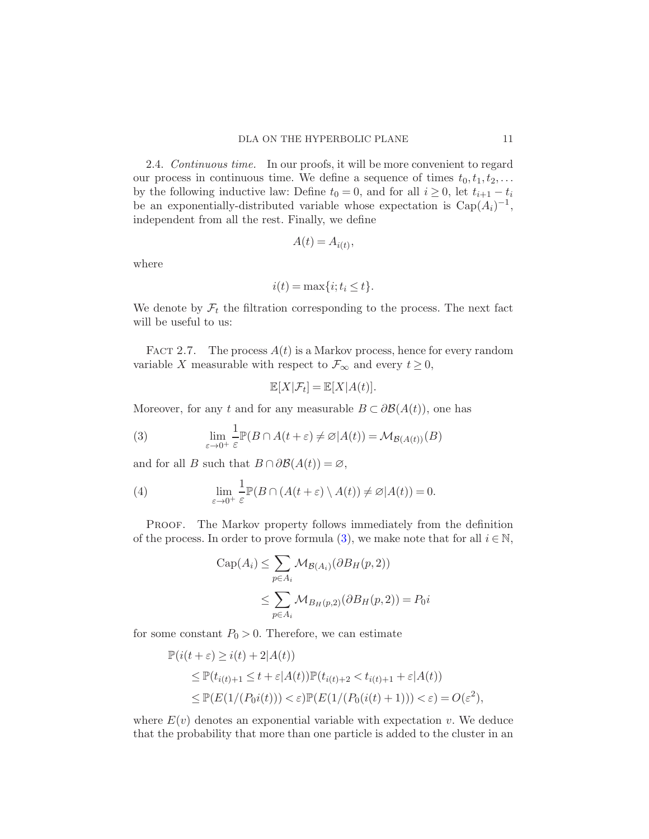2.4. *Continuous time.* In our proofs, it will be more convenient to regard our process in continuous time. We define a sequence of times  $t_0, t_1, t_2, \ldots$ by the following inductive law: Define  $t_0 = 0$ , and for all  $i \geq 0$ , let  $t_{i+1} - t_i$ be an exponentially-distributed variable whose expectation is  $Cap(A_i)^{-1}$ , independent from all the rest. Finally, we define

$$
A(t) = A_{i(t)},
$$

where

$$
i(t) = \max\{i; t_i \le t\}.
$$

We denote by  $\mathcal{F}_t$  the filtration corresponding to the process. The next fact will be useful to us:

FACT 2.7. The process  $A(t)$  is a Markov process, hence for every random variable X measurable with respect to  $\mathcal{F}_{\infty}$  and every  $t \geq 0$ ,

$$
\mathbb{E}[X|\mathcal{F}_t] = \mathbb{E}[X|A(t)].
$$

Moreover, for any t and for any measurable  $B \subset \partial \mathcal{B}(A(t))$ , one has

<span id="page-10-0"></span>(3) 
$$
\lim_{\varepsilon \to 0^+} \frac{1}{\varepsilon} \mathbb{P}(B \cap A(t + \varepsilon) \neq \varnothing | A(t)) = \mathcal{M}_{\mathcal{B}(A(t))}(B)
$$

and for all B such that  $B \cap \partial \mathcal{B}(A(t)) = \emptyset$ ,

(4) 
$$
\lim_{\varepsilon \to 0^+} \frac{1}{\varepsilon} \mathbb{P}(B \cap (A(t + \varepsilon) \setminus A(t)) \neq \varnothing | A(t)) = 0.
$$

PROOF. The Markov property follows immediately from the definition of the process. In order to prove formula [\(3\)](#page-10-0), we make note that for all  $i \in \mathbb{N}$ ,

<span id="page-10-1"></span>
$$
Cap(A_i) \le \sum_{p \in A_i} \mathcal{M}_{\mathcal{B}(A_i)}(\partial B_H(p, 2))
$$
  

$$
\le \sum_{p \in A_i} \mathcal{M}_{B_H(p, 2)}(\partial B_H(p, 2)) = P_0 i
$$

for some constant  $P_0 > 0$ . Therefore, we can estimate

$$
\mathbb{P}(i(t+\varepsilon) \ge i(t) + 2|A(t))
$$
  
\n
$$
\le \mathbb{P}(t_{i(t)+1} \le t + \varepsilon|A(t))\mathbb{P}(t_{i(t)+2} < t_{i(t)+1} + \varepsilon|A(t))
$$
  
\n
$$
\le \mathbb{P}(E(1/(P_0i(t))) < \varepsilon)\mathbb{P}(E(1/(P_0(i(t)+1))) < \varepsilon) = O(\varepsilon^2),
$$

where  $E(v)$  denotes an exponential variable with expectation v. We deduce that the probability that more than one particle is added to the cluster in an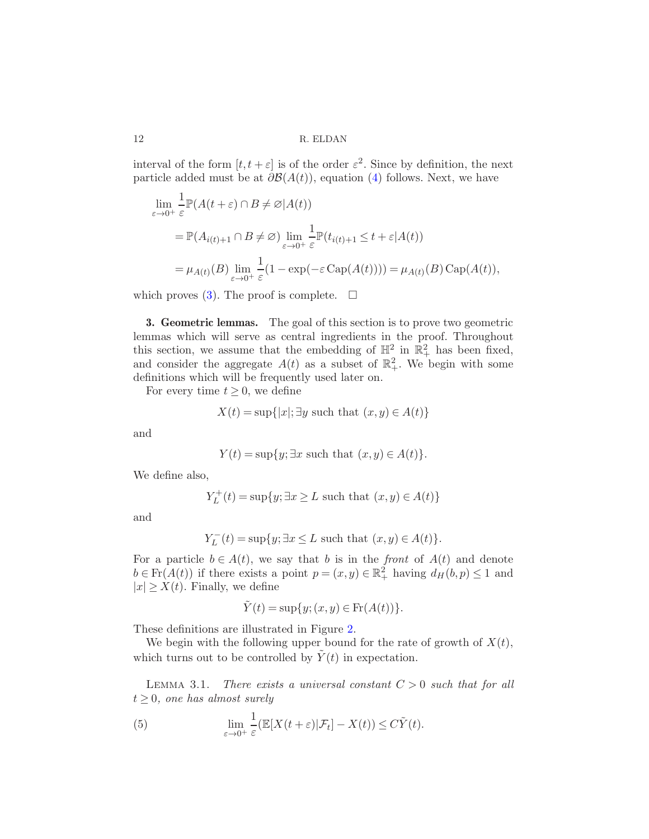interval of the form  $[t, t + \varepsilon]$  is of the order  $\varepsilon^2$ . Since by definition, the next particle added must be at  $\partial \mathcal{B}(A(t))$ , equation [\(4\)](#page-10-1) follows. Next, we have

$$
\lim_{\varepsilon \to 0^+} \frac{1}{\varepsilon} \mathbb{P}(A(t + \varepsilon) \cap B \neq \varnothing | A(t))
$$
\n
$$
= \mathbb{P}(A_{i(t)+1} \cap B \neq \varnothing) \lim_{\varepsilon \to 0^+} \frac{1}{\varepsilon} \mathbb{P}(t_{i(t)+1} \le t + \varepsilon | A(t))
$$
\n
$$
= \mu_{A(t)}(B) \lim_{\varepsilon \to 0^+} \frac{1}{\varepsilon} (1 - \exp(-\varepsilon \operatorname{Cap}(A(t)))) = \mu_{A(t)}(B) \operatorname{Cap}(A(t)),
$$

which proves [\(3\)](#page-10-0). The proof is complete.  $\square$ 

<span id="page-11-0"></span>3. Geometric lemmas. The goal of this section is to prove two geometric lemmas which will serve as central ingredients in the proof. Throughout this section, we assume that the embedding of  $\mathbb{H}^2$  in  $\mathbb{R}^2$  has been fixed, and consider the aggregate  $A(t)$  as a subset of  $\mathbb{R}^2_+$ . We begin with some definitions which will be frequently used later on.

For every time  $t \geq 0$ , we define

$$
X(t) = \sup\{|x|; \exists y \text{ such that } (x, y) \in A(t)\}\
$$

and

$$
Y(t) = \sup\{y; \exists x \text{ such that } (x, y) \in A(t)\}.
$$

We define also,

$$
Y_L^+(t) = \sup\{y; \exists x \ge L \text{ such that } (x, y) \in A(t)\}
$$

and

$$
Y_L^-(t) = \sup\{y; \exists x \le L \text{ such that } (x, y) \in A(t)\}.
$$

For a particle  $b \in A(t)$ , we say that b is in the front of  $A(t)$  and denote  $b \in Fr(A(t))$  if there exists a point  $p = (x, y) \in \mathbb{R}^2_+$  having  $d_H(b, p) \leq 1$  and  $|x| \ge X(t)$ . Finally, we define

$$
\tilde{Y}(t) = \sup\{y; (x, y) \in \text{Fr}(A(t))\}.
$$

These definitions are illustrated in Figure [2.](#page-5-0)

<span id="page-11-1"></span>We begin with the following upper bound for the rate of growth of  $X(t)$ , which turns out to be controlled by  $\tilde{Y}(t)$  in expectation.

LEMMA 3.1. There exists a universal constant  $C > 0$  such that for all  $t \geq 0$ , one has almost surely

(5) 
$$
\lim_{\varepsilon \to 0^+} \frac{1}{\varepsilon} (\mathbb{E}[X(t+\varepsilon)|\mathcal{F}_t] - X(t)) \leq C\tilde{Y}(t).
$$

1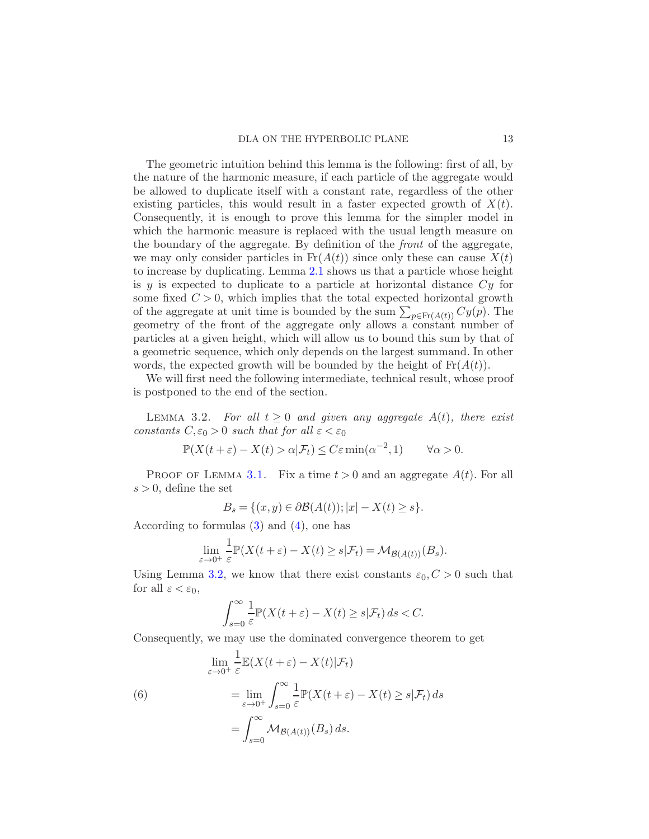The geometric intuition behind this lemma is the following: first of all, by the nature of the harmonic measure, if each particle of the aggregate would be allowed to duplicate itself with a constant rate, regardless of the other existing particles, this would result in a faster expected growth of  $X(t)$ . Consequently, it is enough to prove this lemma for the simpler model in which the harmonic measure is replaced with the usual length measure on the boundary of the aggregate. By definition of the front of the aggregate, we may only consider particles in  $\text{Fr}(A(t))$  since only these can cause  $X(t)$ to increase by duplicating. Lemma [2.1](#page-6-2) shows us that a particle whose height is  $y$  is expected to duplicate to a particle at horizontal distance  $Cy$  for some fixed  $C > 0$ , which implies that the total expected horizontal growth of the aggregate at unit time is bounded by the sum  $\sum_{p \in \text{Fr}(A(t))} Cy(p)$ . The geometry of the front of the aggregate only allows a constant number of particles at a given height, which will allow us to bound this sum by that of a geometric sequence, which only depends on the largest summand. In other words, the expected growth will be bounded by the height of  $Fr(A(t))$ .

<span id="page-12-0"></span>We will first need the following intermediate, technical result, whose proof is postponed to the end of the section.

LEMMA 3.2. For all  $t \geq 0$  and given any aggregate  $A(t)$ , there exist constants  $C, \varepsilon_0 > 0$  such that for all  $\varepsilon < \varepsilon_0$ 

$$
\mathbb{P}(X(t+\varepsilon) - X(t) > \alpha | \mathcal{F}_t) \le C\varepsilon \min(\alpha^{-2}, 1) \qquad \forall \alpha > 0.
$$

PROOF OF LEMMA [3.1.](#page-11-1) Fix a time  $t > 0$  and an aggregate  $A(t)$ . For all  $s > 0$ , define the set

$$
B_s = \{(x, y) \in \partial \mathcal{B}(A(t)); |x| - X(t) \ge s\}.
$$

According to formulas  $(3)$  and  $(4)$ , one has

$$
\lim_{\varepsilon \to 0^+} \frac{1}{\varepsilon} \mathbb{P}(X(t+\varepsilon) - X(t) \ge s | \mathcal{F}_t) = \mathcal{M}_{\mathcal{B}(A(t))}(B_s).
$$

Using Lemma [3.2,](#page-12-0) we know that there exist constants  $\varepsilon_0, C > 0$  such that for all  $\varepsilon < \varepsilon_0$ ,

<span id="page-12-1"></span>
$$
\int_{s=0}^{\infty} \frac{1}{\varepsilon} \mathbb{P}(X(t+\varepsilon) - X(t) \ge s | \mathcal{F}_t) ds < C.
$$

Consequently, we may use the dominated convergence theorem to get

(6)  
\n
$$
\lim_{\varepsilon \to 0^{+}} \frac{1}{\varepsilon} \mathbb{E}(X(t+\varepsilon) - X(t)|\mathcal{F}_{t})
$$
\n
$$
= \lim_{\varepsilon \to 0^{+}} \int_{s=0}^{\infty} \frac{1}{\varepsilon} \mathbb{P}(X(t+\varepsilon) - X(t) \geq s|\mathcal{F}_{t}) ds
$$
\n
$$
= \int_{s=0}^{\infty} \mathcal{M}_{\mathcal{B}(A(t))}(B_{s}) ds.
$$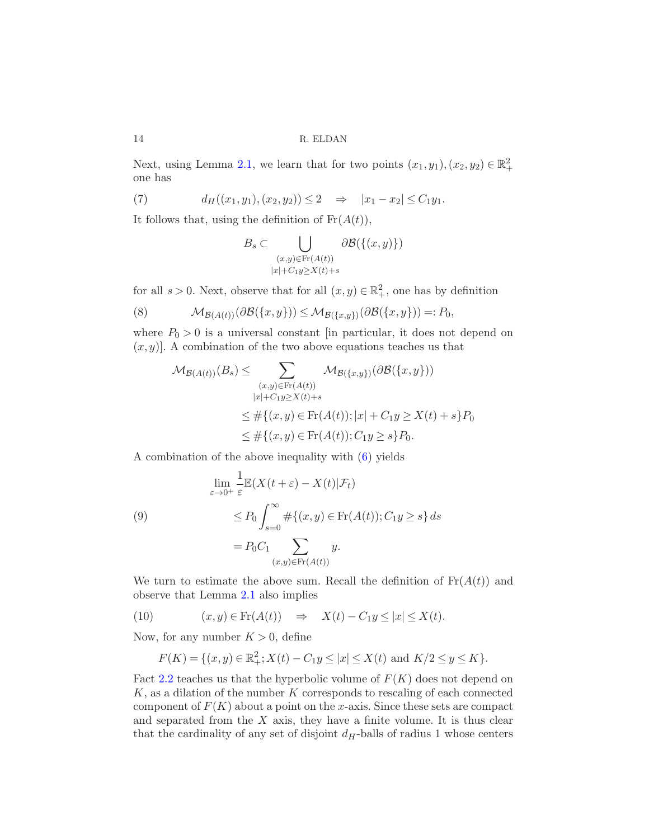Next, using Lemma [2.1,](#page-6-2) we learn that for two points  $(x_1, y_1), (x_2, y_2) \in \mathbb{R}^2_+$ one has

(7) 
$$
d_H((x_1,y_1),(x_2,y_2)) \leq 2 \quad \Rightarrow \quad |x_1-x_2| \leq C_1 y_1.
$$

It follows that, using the definition of  $Fr(A(t)),$ 

$$
B_s \subset \bigcup_{\substack{(x,y)\in \text{Fr}(A(t))\\|x|+C_1y\ge X(t)+s}} \partial \mathcal{B}(\{(x,y)\})
$$

for all  $s > 0$ . Next, observe that for all  $(x, y) \in \mathbb{R}^2_+$ , one has by definition

(8) 
$$
\mathcal{M}_{\mathcal{B}(A(t))}(\partial \mathcal{B}(\{x,y\})) \leq \mathcal{M}_{\mathcal{B}(\{x,y\})}(\partial \mathcal{B}(\{x,y\})) =: P_0,
$$

where  $P_0 > 0$  is a universal constant [in particular, it does not depend on  $(x, y)$ . A combination of the two above equations teaches us that

$$
\mathcal{M}_{\mathcal{B}(A(t))}(B_s) \leq \sum_{\substack{(x,y)\in \text{Fr}(A(t))\\|x|+C_1y\geq X(t)+s}} \mathcal{M}_{\mathcal{B}(\{x,y\})}(\partial \mathcal{B}(\{x,y\}))
$$
  
\n
$$
\leq \# \{(x,y)\in \text{Fr}(A(t)); |x|+C_1y\geq X(t)+s\}P_0
$$
  
\n
$$
\leq \# \{(x,y)\in \text{Fr}(A(t)); C_1y\geq s\}P_0.
$$

A combination of the above inequality with [\(6\)](#page-12-1) yields

<span id="page-13-1"></span>(9)  
\n
$$
\lim_{\varepsilon \to 0^{+}} \frac{1}{\varepsilon} \mathbb{E}(X(t+\varepsilon) - X(t)|\mathcal{F}_{t})
$$
\n
$$
\leq P_{0} \int_{s=0}^{\infty} \# \{ (x, y) \in \text{Fr}(A(t)); C_{1} y \geq s \} ds
$$
\n
$$
= P_{0} C_{1} \sum_{(x, y) \in \text{Fr}(A(t))} y.
$$

We turn to estimate the above sum. Recall the definition of  $Fr(A(t))$  and observe that Lemma [2.1](#page-6-2) also implies

(10) 
$$
(x,y) \in \text{Fr}(A(t)) \Rightarrow X(t) - C_1 y \le |x| \le X(t).
$$

Now, for any number  $K > 0$ , define

<span id="page-13-0"></span>
$$
F(K) = \{(x, y) \in \mathbb{R}^2_+; X(t) - C_1 y \le |x| \le X(t) \text{ and } K/2 \le y \le K\}.
$$

Fact [2.2](#page-7-1) teaches us that the hyperbolic volume of  $F(K)$  does not depend on  $K$ , as a dilation of the number  $K$  corresponds to rescaling of each connected component of  $F(K)$  about a point on the x-axis. Since these sets are compact and separated from the  $X$  axis, they have a finite volume. It is thus clear that the cardinality of any set of disjoint  $d_H$ -balls of radius 1 whose centers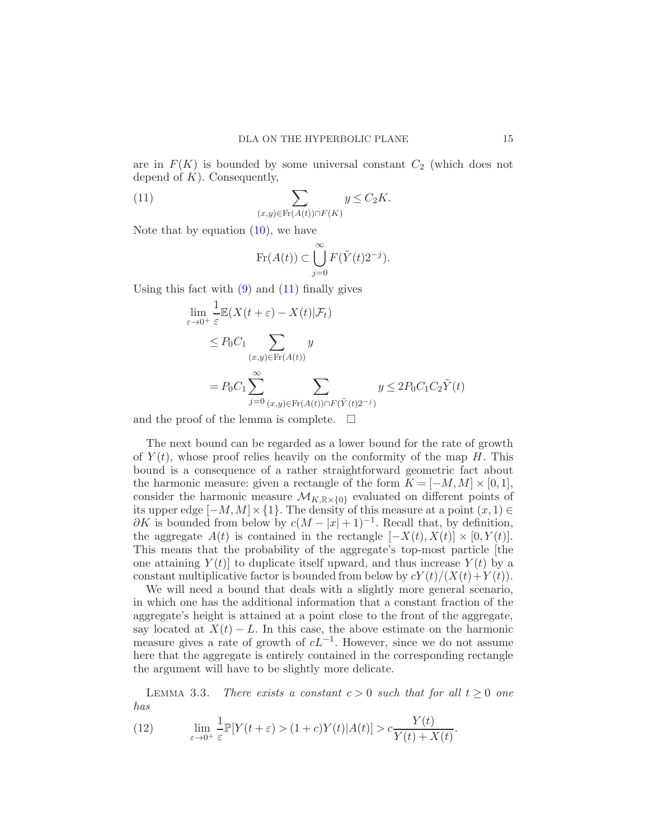are in  $F(K)$  is bounded by some universal constant  $C_2$  (which does not depend of  $K$ ). Consequently,

(11) 
$$
\sum_{(x,y)\in \text{Fr}(A(t))\cap F(K)} y \leq C_2 K.
$$

Note that by equation  $(10)$ , we have

<span id="page-14-0"></span>
$$
\text{Fr}(A(t)) \subset \bigcup_{j=0}^{\infty} F(\tilde{Y}(t)2^{-j}).
$$

Using this fact with  $(9)$  and  $(11)$  finally gives

$$
\lim_{\varepsilon \to 0^+} \frac{1}{\varepsilon} \mathbb{E}(X(t+\varepsilon) - X(t)|\mathcal{F}_t)
$$
\n
$$
\leq P_0 C_1 \sum_{(x,y) \in \text{Fr}(A(t))} y
$$
\n
$$
= P_0 C_1 \sum_{j=0}^{\infty} \sum_{(x,y) \in \text{Fr}(A(t)) \cap F(\tilde{Y}(t)2^{-j})} y \leq 2P_0 C_1 C_2 \tilde{Y}(t)
$$

and the proof of the lemma is complete.  $\Box$ 

The next bound can be regarded as a lower bound for the rate of growth of  $Y(t)$ , whose proof relies heavily on the conformity of the map H. This bound is a consequence of a rather straightforward geometric fact about the harmonic measure: given a rectangle of the form  $K = [-M, M] \times [0, 1]$ , consider the harmonic measure  $\mathcal{M}_{K,\mathbb{R}\times\{0\}}$  evaluated on different points of its upper edge  $[-M, M] \times \{1\}$ . The density of this measure at a point  $(x, 1) \in$  $\partial K$  is bounded from below by  $c(M - |x| + 1)^{-1}$ . Recall that, by definition, the aggregate  $A(t)$  is contained in the rectangle  $[-X(t), X(t)] \times [0, Y(t)]$ . This means that the probability of the aggregate's top-most particle [the one attaining  $Y(t)$  to duplicate itself upward, and thus increase  $Y(t)$  by a constant multiplicative factor is bounded from below by  $cY(t)/(X(t)+Y(t))$ .

We will need a bound that deals with a slightly more general scenario, in which one has the additional information that a constant fraction of the aggregate's height is attained at a point close to the front of the aggregate, say located at  $X(t) - L$ . In this case, the above estimate on the harmonic measure gives a rate of growth of  $cL^{-1}$ . However, since we do not assume here that the aggregate is entirely contained in the corresponding rectangle the argument will have to be slightly more delicate.

<span id="page-14-2"></span>LEMMA 3.3. There exists a constant  $c > 0$  such that for all  $t \ge 0$  one has

<span id="page-14-1"></span>(12) 
$$
\lim_{\varepsilon \to 0^+} \frac{1}{\varepsilon} \mathbb{P}[Y(t+\varepsilon) > (1+c)Y(t)|A(t)] > c \frac{Y(t)}{Y(t)+X(t)}.
$$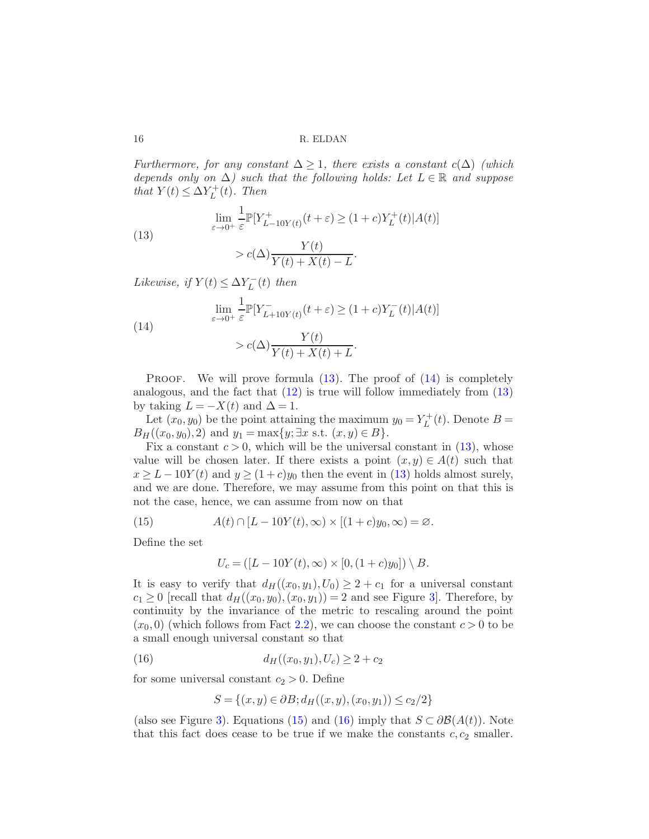Furthermore, for any constant  $\Delta > 1$ , there exists a constant  $c(\Delta)$  (which depends only on  $\Delta$ ) such that the following holds: Let  $L \in \mathbb{R}$  and suppose that  $Y(t) \leq \Delta Y_L^+$  $\iota_L^+(t)$ . Then

<span id="page-15-0"></span>(13)  
\n
$$
\lim_{\varepsilon \to 0^+} \frac{1}{\varepsilon} \mathbb{P}[Y_{L-10Y(t)}^+(t+\varepsilon) \ge (1+c)Y_L^+(t)|A(t)]
$$
\n
$$
> c(\Delta) \frac{Y(t)}{Y(t)+X(t)-L}.
$$

Likewise, if  $Y(t) \leq \Delta Y_L^{-}(t)$  then

<span id="page-15-1"></span>(14)  

$$
\lim_{\varepsilon \to 0^+} \frac{1}{\varepsilon} \mathbb{P}[Y_{L+10Y(t)}^-(t+\varepsilon) \ge (1+c)Y_L^-(t)|A(t)]
$$

$$
> c(\Delta) \frac{Y(t)}{Y(t)+X(t)+L}.
$$

PROOF. We will prove formula  $(13)$ . The proof of  $(14)$  is completely analogous, and the fact that  $(12)$  is true will follow immediately from  $(13)$ by taking  $L = -X(t)$  and  $\Delta = 1$ .

Let  $(x_0, y_0)$  be the point attaining the maximum  $y_0 = Y_L^+$  $L^+(t)$ . Denote  $B=$  $B_H((x_0, y_0), 2)$  and  $y_1 = \max\{y; \exists x \text{ s.t. } (x, y) \in B\}.$ 

Fix a constant  $c > 0$ , which will be the universal constant in [\(13\)](#page-15-0), whose value will be chosen later. If there exists a point  $(x, y) \in A(t)$  such that  $x \geq L - 10Y(t)$  and  $y \geq (1+c)y_0$  then the event in [\(13\)](#page-15-0) holds almost surely, and we are done. Therefore, we may assume from this point on that this is not the case, hence, we can assume from now on that

(15) 
$$
A(t) \cap [L - 10Y(t), \infty) \times [(1+c)y_0, \infty) = \emptyset.
$$

Define the set

<span id="page-15-2"></span>
$$
U_c = ([L - 10Y(t), \infty) \times [0, (1 + c)y_0]) \setminus B.
$$

It is easy to verify that  $d_H((x_0, y_1), U_0) \geq 2 + c_1$  for a universal constant  $c_1 \geq 0$  [recall that  $d_H((x_0, y_0), (x_0, y_1)) = 2$  and see Figure [3\]](#page-16-0). Therefore, by continuity by the invariance of the metric to rescaling around the point  $(x_0, 0)$  (which follows from Fact [2.2\)](#page-7-1), we can choose the constant  $c > 0$  to be a small enough universal constant so that

(16) 
$$
d_H((x_0, y_1), U_c) \ge 2 + c_2
$$

for some universal constant  $c_2 > 0$ . Define

<span id="page-15-3"></span>
$$
S = \{(x, y) \in \partial B; d_H((x, y), (x_0, y_1)) \le c_2/2\}
$$

(also see Figure [3\)](#page-16-0). Equations [\(15\)](#page-15-2) and [\(16\)](#page-15-3) imply that  $S \subset \partial \mathcal{B}(A(t))$ . Note that this fact does cease to be true if we make the constants  $c, c_2$  smaller.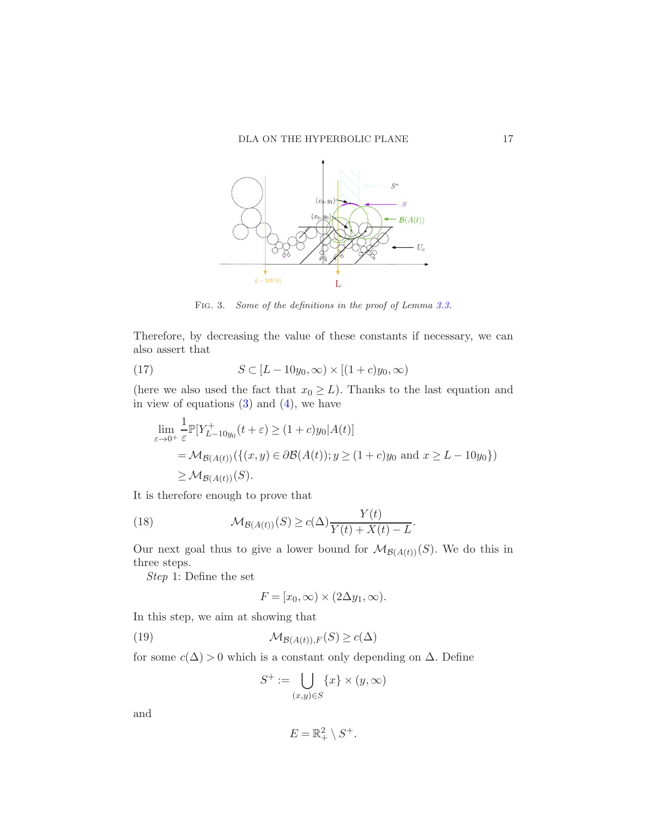

<span id="page-16-0"></span>Fig. 3. Some of the definitions in the proof of Lemma [3.3.](#page-14-2)

Therefore, by decreasing the value of these constants if necessary, we can also assert that

(17) 
$$
S \subset [L-10y_0,\infty) \times [(1+c)y_0,\infty)
$$

(here we also used the fact that  $x_0 \geq L$ ). Thanks to the last equation and in view of equations  $(3)$  and  $(4)$ , we have

$$
\lim_{\varepsilon \to 0^+} \frac{1}{\varepsilon} \mathbb{P}[Y_{L-10y_0}^+(t+\varepsilon) \ge (1+c)y_0 | A(t)]
$$
\n
$$
= \mathcal{M}_{\mathcal{B}(A(t))}(\{(x, y) \in \partial \mathcal{B}(A(t)); y \ge (1+c)y_0 \text{ and } x \ge L-10y_0\})
$$
\n
$$
\ge \mathcal{M}_{\mathcal{B}(A(t))}(S).
$$

It is therefore enough to prove that

(18) 
$$
\mathcal{M}_{\mathcal{B}(A(t))}(S) \ge c(\Delta) \frac{Y(t)}{Y(t) + X(t) - L}.
$$

Our next goal thus to give a lower bound for  $\mathcal{M}_{\mathcal{B}(A(t))}(S)$ . We do this in three steps.

Step 1: Define the set

<span id="page-16-2"></span><span id="page-16-1"></span>
$$
F = [x_0, \infty) \times (2\Delta y_1, \infty).
$$

In this step, we aim at showing that

(19) 
$$
\mathcal{M}_{\mathcal{B}(A(t)),F}(S) \ge c(\Delta)
$$

for some  $c(\Delta) > 0$  which is a constant only depending on  $\Delta$ . Define

$$
S^+ := \bigcup_{(x,y)\in S} \{x\} \times (y,\infty)
$$

and

$$
E = \mathbb{R}^2_+ \setminus S^+.
$$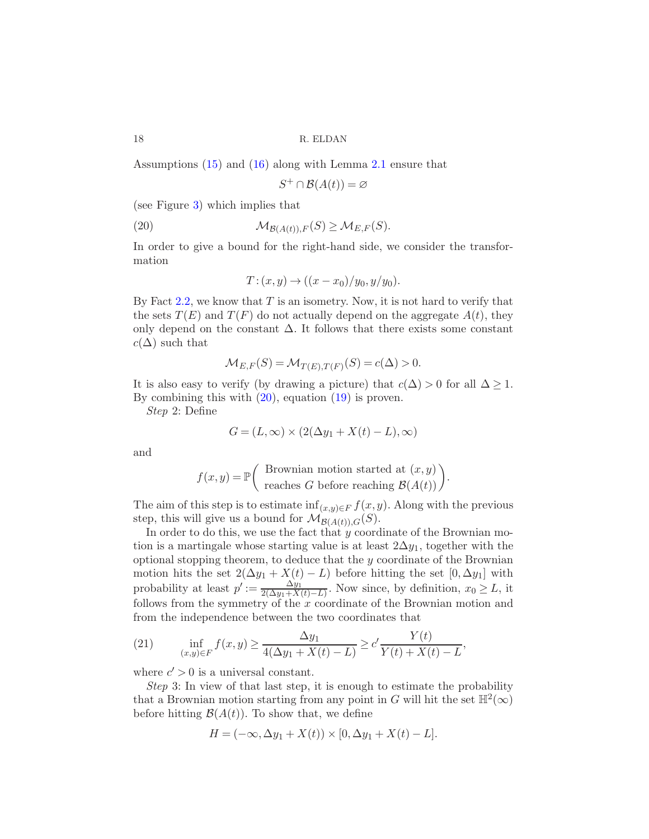Assumptions [\(15\)](#page-15-2) and [\(16\)](#page-15-3) along with Lemma [2.1](#page-6-2) ensure that

<span id="page-17-0"></span> $S^+\cap\mathcal{B}(A(t))=\varnothing$ 

(see Figure [3\)](#page-16-0) which implies that

(20) 
$$
\mathcal{M}_{\mathcal{B}(A(t)),F}(S) \geq \mathcal{M}_{E,F}(S).
$$

In order to give a bound for the right-hand side, we consider the transformation

$$
T: (x, y) \to ((x - x_0)/y_0, y/y_0).
$$

By Fact [2.2,](#page-7-1) we know that  $T$  is an isometry. Now, it is not hard to verify that the sets  $T(E)$  and  $T(F)$  do not actually depend on the aggregate  $A(t)$ , they only depend on the constant  $\Delta$ . It follows that there exists some constant  $c(\Delta)$  such that

$$
\mathcal{M}_{E,F}(S) = \mathcal{M}_{T(E),T(F)}(S) = c(\Delta) > 0.
$$

It is also easy to verify (by drawing a picture) that  $c(\Delta) > 0$  for all  $\Delta \geq 1$ . By combining this with  $(20)$ , equation  $(19)$  is proven.

Step 2: Define

$$
G = (L, \infty) \times (2(\Delta y_1 + X(t) - L), \infty)
$$

and

$$
f(x,y) = \mathbb{P}\left(\begin{array}{c}\text{Brownian motion started at } (x,y) \\ \text{reaches } G \text{ before reaching } \mathcal{B}(A(t))\end{array}\right).
$$

The aim of this step is to estimate  $\inf_{(x,y)\in F} f(x,y)$ . Along with the previous step, this will give us a bound for  $\mathcal{M}_{\mathcal{B}(A(t)),G}(S)$ .

In order to do this, we use the fact that  $y$  coordinate of the Brownian motion is a martingale whose starting value is at least  $2\Delta y_1$ , together with the optional stopping theorem, to deduce that the y coordinate of the Brownian motion hits the set  $2(\Delta y_1 + X(t) - L)$  before hitting the set  $[0, \Delta y_1]$  with probability at least  $p' := \frac{\Delta y_1}{2(\Delta y_1 + X)}$  $\frac{\Delta y_1}{2(\Delta y_1 + X(t) - L)}$ . Now since, by definition,  $x_0 \geq L$ , it follows from the symmetry of the  $x$  coordinate of the Brownian motion and from the independence between the two coordinates that

<span id="page-17-1"></span>(21) 
$$
\inf_{(x,y)\in F} f(x,y) \ge \frac{\Delta y_1}{4(\Delta y_1 + X(t) - L)} \ge c' \frac{Y(t)}{Y(t) + X(t) - L},
$$

where  $c' > 0$  is a universal constant.

Step 3: In view of that last step, it is enough to estimate the probability that a Brownian motion starting from any point in G will hit the set  $\mathbb{H}^2(\infty)$ before hitting  $\mathcal{B}(A(t))$ . To show that, we define

$$
H = (-\infty, \Delta y_1 + X(t)) \times [0, \Delta y_1 + X(t) - L].
$$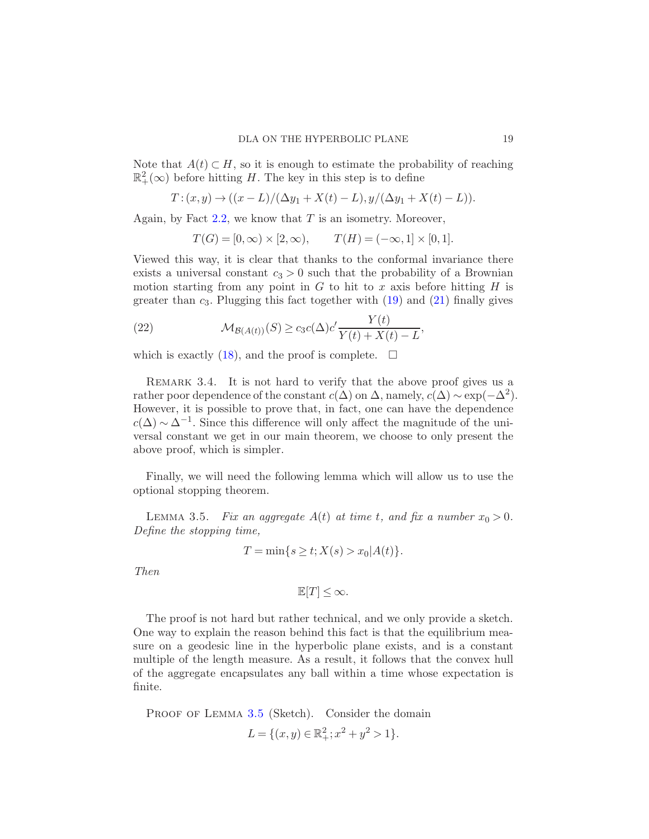Note that  $A(t) \subset H$ , so it is enough to estimate the probability of reaching  $\mathbb{R}^2_+(\infty)$  before hitting H. The key in this step is to define

$$
T: (x, y) \to ((x - L)/(\Delta y_1 + X(t) - L), y/(\Delta y_1 + X(t) - L)).
$$

Again, by Fact [2.2,](#page-7-1) we know that  $T$  is an isometry. Moreover,

$$
T(G) = [0, \infty) \times [2, \infty),
$$
  $T(H) = (-\infty, 1] \times [0, 1].$ 

Viewed this way, it is clear that thanks to the conformal invariance there exists a universal constant  $c_3 > 0$  such that the probability of a Brownian motion starting from any point in  $G$  to hit to x axis before hitting  $H$  is greater than  $c_3$ . Plugging this fact together with  $(19)$  and  $(21)$  finally gives

(22) 
$$
\mathcal{M}_{\mathcal{B}(A(t))}(S) \ge c_3 c(\Delta) c' \frac{Y(t)}{Y(t) + X(t) - L},
$$

which is exactly [\(18\)](#page-16-2), and the proof is complete.  $\Box$ 

REMARK 3.4. It is not hard to verify that the above proof gives us a rather poor dependence of the constant  $c(\Delta)$  on  $\Delta$ , namely,  $c(\Delta) \sim \exp(-\Delta^2)$ . However, it is possible to prove that, in fact, one can have the dependence  $c(\Delta) \sim \Delta^{-1}$ . Since this difference will only affect the magnitude of the universal constant we get in our main theorem, we choose to only present the above proof, which is simpler.

<span id="page-18-0"></span>Finally, we will need the following lemma which will allow us to use the optional stopping theorem.

LEMMA 3.5. Fix an aggregate  $A(t)$  at time t, and fix a number  $x_0 > 0$ . Define the stopping time,

$$
T = \min\{s \ge t; X(s) > x_0 | A(t) \}.
$$

Then

$$
\mathbb{E}[T] \leq \infty.
$$

The proof is not hard but rather technical, and we only provide a sketch. One way to explain the reason behind this fact is that the equilibrium measure on a geodesic line in the hyperbolic plane exists, and is a constant multiple of the length measure. As a result, it follows that the convex hull of the aggregate encapsulates any ball within a time whose expectation is finite.

PROOF OF LEMMA [3.5](#page-18-0) (Sketch). Consider the domain

$$
L = \{(x, y) \in \mathbb{R}^2_+; x^2 + y^2 > 1\}.
$$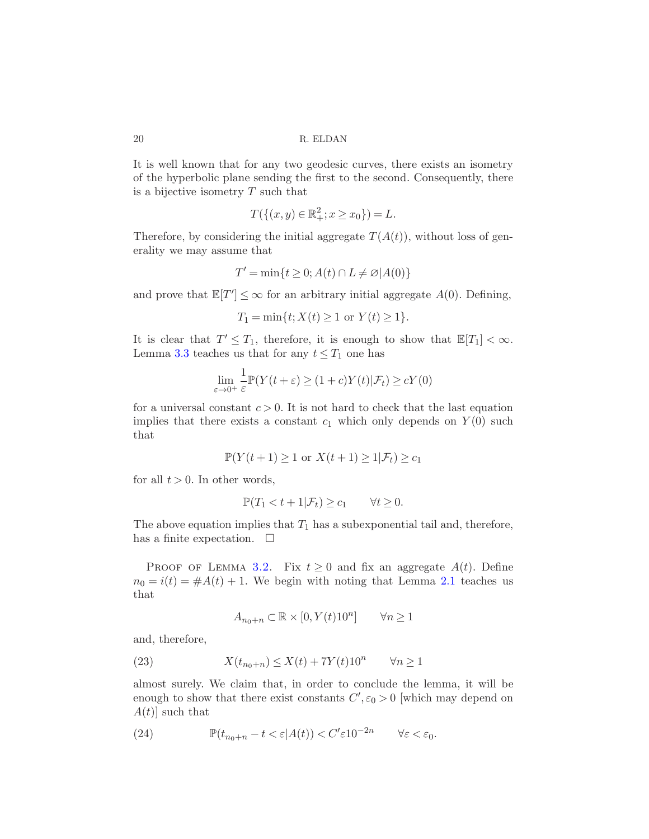It is well known that for any two geodesic curves, there exists an isometry of the hyperbolic plane sending the first to the second. Consequently, there is a bijective isometry  $T$  such that

$$
T(\{(x, y) \in \mathbb{R}^2_+; x \ge x_0\}) = L.
$$

Therefore, by considering the initial aggregate  $T(A(t))$ , without loss of generality we may assume that

$$
T' = \min\{t \ge 0; A(t) \cap L \ne \varnothing | A(0)\}
$$

and prove that  $\mathbb{E}[T'] \leq \infty$  for an arbitrary initial aggregate  $A(0)$ . Defining,

$$
T_1 = \min\{t; X(t) \ge 1 \text{ or } Y(t) \ge 1\}.
$$

It is clear that  $T' \leq T_1$ , therefore, it is enough to show that  $\mathbb{E}[T_1] < \infty$ . Lemma [3.3](#page-14-2) teaches us that for any  $t \leq T_1$  one has

$$
\lim_{\varepsilon \to 0^+} \frac{1}{\varepsilon} \mathbb{P}(Y(t+\varepsilon) \ge (1+c)Y(t)|\mathcal{F}_t) \ge cY(0)
$$

for a universal constant  $c > 0$ . It is not hard to check that the last equation implies that there exists a constant  $c_1$  which only depends on  $Y(0)$  such that

$$
\mathbb{P}(Y(t+1) \ge 1 \text{ or } X(t+1) \ge 1 | \mathcal{F}_t) \ge c_1
$$

for all  $t > 0$ . In other words,

$$
\mathbb{P}(T_1 < t+1 | \mathcal{F}_t) \ge c_1 \qquad \forall t \ge 0.
$$

The above equation implies that  $T_1$  has a subexponential tail and, therefore, has a finite expectation.  $\Box$ 

PROOF OF LEMMA [3.2.](#page-12-0) Fix  $t \geq 0$  and fix an aggregate  $A(t)$ . Define  $n_0 = i(t) = #A(t) + 1$ . We begin with noting that Lemma [2.1](#page-6-2) teaches us that

<span id="page-19-0"></span>
$$
A_{n_0+n} \subset \mathbb{R} \times [0, Y(t)10^n] \qquad \forall n \ge 1
$$

and, therefore,

(23) 
$$
X(t_{n_0+n}) \le X(t) + 7Y(t)10^n \qquad \forall n \ge 1
$$

almost surely. We claim that, in order to conclude the lemma, it will be enough to show that there exist constants  $C', \varepsilon_0 > 0$  [which may depend on  $A(t)$  such that

<span id="page-19-1"></span>(24) 
$$
\mathbb{P}(t_{n_0+n}-t<\varepsilon|A(t))
$$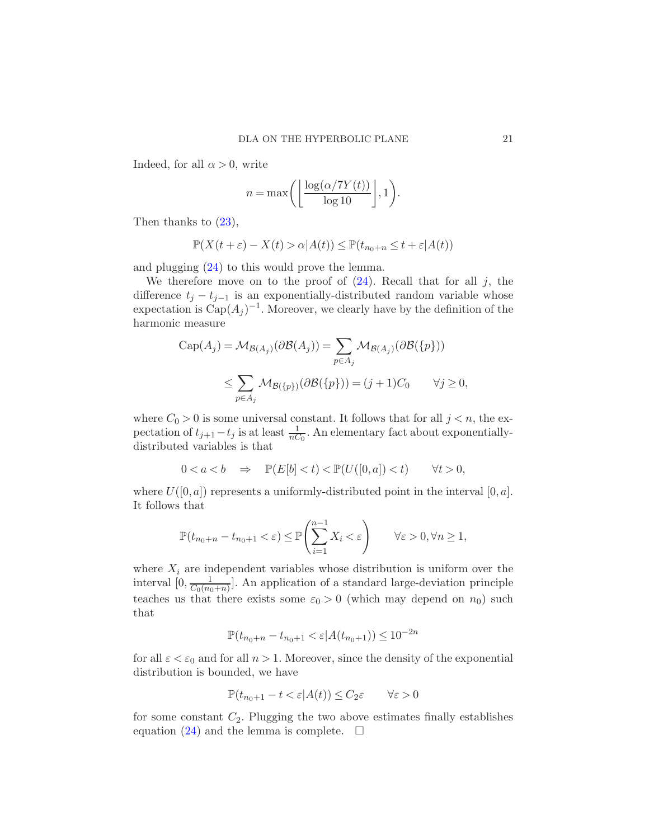Indeed, for all  $\alpha > 0$ , write

$$
n = \max\left(\left\lfloor\frac{\log(\alpha/7Y(t))}{\log 10}\right\rfloor, 1\right).
$$

Then thanks to [\(23\)](#page-19-0),

$$
\mathbb{P}(X(t+\varepsilon)-X(t)>\alpha|A(t))\leq \mathbb{P}(t_{n_0+n}\leq t+\varepsilon|A(t))
$$

and plugging [\(24\)](#page-19-1) to this would prove the lemma.

We therefore move on to the proof of  $(24)$ . Recall that for all j, the difference  $t_j - t_{j-1}$  is an exponentially-distributed random variable whose expectation is  $Cap(A_j)^{-1}$ . Moreover, we clearly have by the definition of the harmonic measure

$$
\begin{aligned} \text{Cap}(A_j) &= \mathcal{M}_{\mathcal{B}(A_j)}(\partial \mathcal{B}(A_j)) = \sum_{p \in A_j} \mathcal{M}_{\mathcal{B}(A_j)}(\partial \mathcal{B}(\{p\})) \\ &\le \sum_{p \in A_j} \mathcal{M}_{\mathcal{B}(\{p\})}(\partial \mathcal{B}(\{p\})) = (j+1)C_0 \qquad \forall j \ge 0, \end{aligned}
$$

where  $C_0 > 0$  is some universal constant. It follows that for all  $j < n$ , the expectation of  $t_{j+1} - t_j$  is at least  $\frac{1}{nC_0}$ . An elementary fact about exponentiallydistributed variables is that

$$
0 < a < b \quad \Rightarrow \quad \mathbb{P}(E[b] < t) < \mathbb{P}(U([0,a]) < t) \qquad \forall t > 0,
$$

where  $U([0, a])$  represents a uniformly-distributed point in the interval  $[0, a]$ . It follows that

$$
\mathbb{P}(t_{n_0+n}-t_{n_0+1}<\varepsilon)\leq \mathbb{P}\left(\sum_{i=1}^{n-1}X_i<\varepsilon\right)\qquad\forall\varepsilon>0,\forall n\geq 1,
$$

where  $X_i$  are independent variables whose distribution is uniform over the interval  $[0, \frac{1}{C_0(n_0))}$  $\frac{1}{C_0(n_0+n)}$ . An application of a standard large-deviation principle teaches us that there exists some  $\varepsilon_0 > 0$  (which may depend on  $n_0$ ) such that

$$
\mathbb{P}(t_{n_0+n}-t_{n_0+1} < \varepsilon | A(t_{n_0+1})) \leq 10^{-2n}
$$

for all  $\varepsilon < \varepsilon_0$  and for all  $n > 1$ . Moreover, since the density of the exponential distribution is bounded, we have

$$
\mathbb{P}(t_{n_0+1}-t<\varepsilon|A(t))\leq C_2\varepsilon \qquad \forall \varepsilon>0
$$

for some constant  $C_2$ . Plugging the two above estimates finally establishes equation [\(24\)](#page-19-1) and the lemma is complete.  $\Box$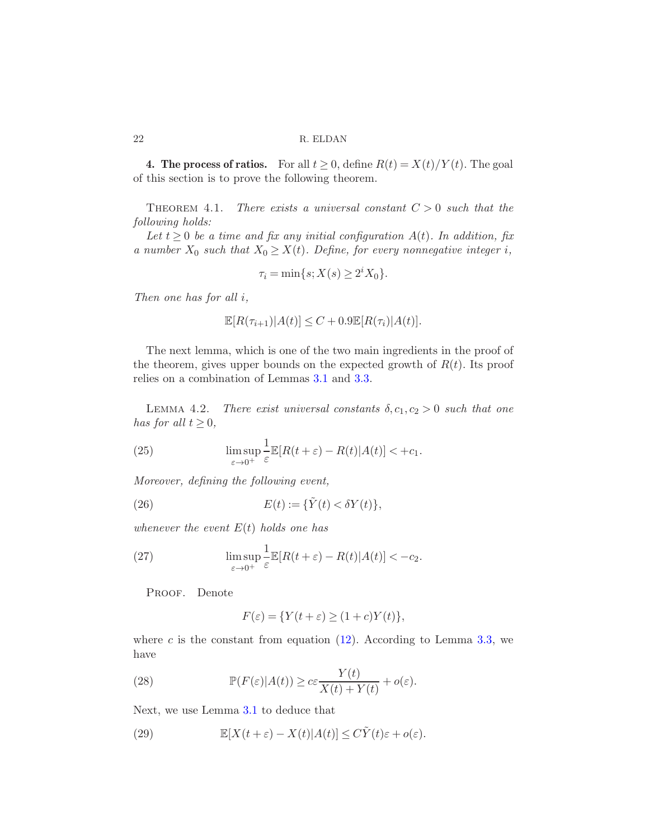<span id="page-21-5"></span>4. The process of ratios. For all  $t \geq 0$ , define  $R(t) = X(t)/Y(t)$ . The goal of this section is to prove the following theorem.

THEOREM 4.1. There exists a universal constant  $C > 0$  such that the following holds:

Let  $t \geq 0$  be a time and fix any initial configuration  $A(t)$ . In addition, fix a number  $X_0$  such that  $X_0 \geq X(t)$ . Define, for every nonnegative integer i,

$$
\tau_i = \min\{s; X(s) \ge 2^i X_0\}.
$$

Then one has for all i,

$$
\mathbb{E}[R(\tau_{i+1})|A(t)] \le C + 0.9\mathbb{E}[R(\tau_i)|A(t)].
$$

The next lemma, which is one of the two main ingredients in the proof of the theorem, gives upper bounds on the expected growth of  $R(t)$ . Its proof relies on a combination of Lemmas [3.1](#page-11-1) and [3.3.](#page-14-2)

LEMMA 4.2. There exist universal constants  $\delta, c_1, c_2 > 0$  such that one has for all  $t \geq 0$ ,

<span id="page-21-3"></span>(25) 
$$
\limsup_{\varepsilon \to 0^+} \frac{1}{\varepsilon} \mathbb{E}[R(t+\varepsilon) - R(t)|A(t)] < +c_1.
$$

Moreover, defining the following event,

(26) 
$$
E(t) := \{ \tilde{Y}(t) < \delta Y(t) \},
$$

whenever the event  $E(t)$  holds one has

(27) 
$$
\limsup_{\varepsilon \to 0^+} \frac{1}{\varepsilon} \mathbb{E}[R(t+\varepsilon) - R(t)|A(t)] < -c_2.
$$

PROOF. Denote

<span id="page-21-4"></span><span id="page-21-1"></span>
$$
F(\varepsilon) = \{ Y(t + \varepsilon) \ge (1 + c)Y(t) \},\
$$

where c is the constant from equation  $(12)$ . According to Lemma [3.3,](#page-14-2) we have

(28) 
$$
\mathbb{P}(F(\varepsilon)|A(t)) \geq c\varepsilon \frac{Y(t)}{X(t) + Y(t)} + o(\varepsilon).
$$

Next, we use Lemma [3.1](#page-11-1) to deduce that

<span id="page-21-2"></span>(29) 
$$
\mathbb{E}[X(t+\varepsilon)-X(t)|A(t)] \leq C\tilde{Y}(t)\varepsilon + o(\varepsilon).
$$

<span id="page-21-0"></span>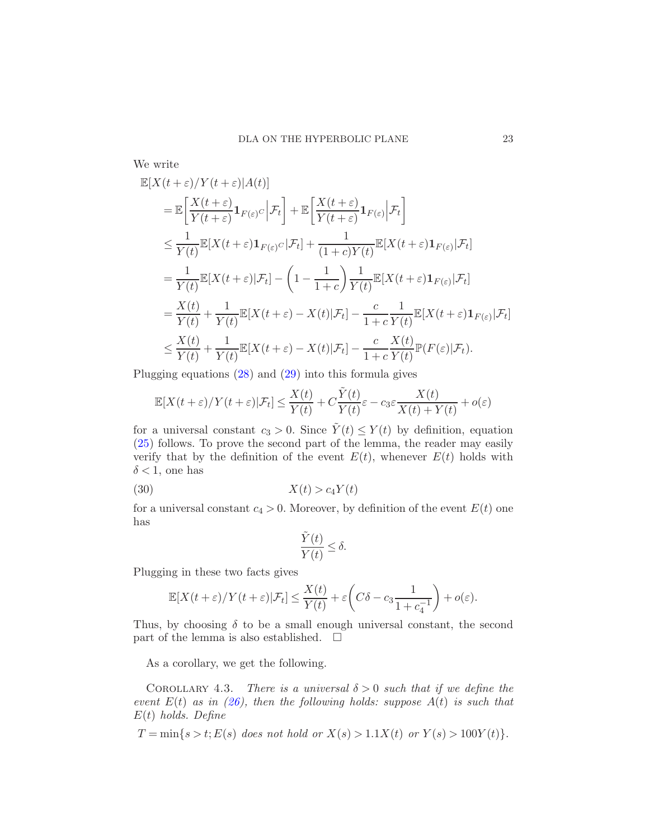We write

$$
\mathbb{E}[X(t+\varepsilon)/Y(t+\varepsilon)|A(t)]
$$
\n
$$
= \mathbb{E}\left[\frac{X(t+\varepsilon)}{Y(t+\varepsilon)}\mathbf{1}_{F(\varepsilon)}\sigma\Big|\mathcal{F}_t\right] + \mathbb{E}\left[\frac{X(t+\varepsilon)}{Y(t+\varepsilon)}\mathbf{1}_{F(\varepsilon)}\Big|\mathcal{F}_t\right]
$$
\n
$$
\leq \frac{1}{Y(t)}\mathbb{E}[X(t+\varepsilon)\mathbf{1}_{F(\varepsilon)}\sigma|\mathcal{F}_t] + \frac{1}{(1+c)Y(t)}\mathbb{E}[X(t+\varepsilon)\mathbf{1}_{F(\varepsilon)}|\mathcal{F}_t]
$$
\n
$$
= \frac{1}{Y(t)}\mathbb{E}[X(t+\varepsilon)|\mathcal{F}_t] - \left(1 - \frac{1}{1+c}\right)\frac{1}{Y(t)}\mathbb{E}[X(t+\varepsilon)\mathbf{1}_{F(\varepsilon)}|\mathcal{F}_t]
$$
\n
$$
= \frac{X(t)}{Y(t)} + \frac{1}{Y(t)}\mathbb{E}[X(t+\varepsilon) - X(t)|\mathcal{F}_t] - \frac{c}{1+c}\frac{1}{Y(t)}\mathbb{E}[X(t+\varepsilon)\mathbf{1}_{F(\varepsilon)}|\mathcal{F}_t]
$$
\n
$$
\leq \frac{X(t)}{Y(t)} + \frac{1}{Y(t)}\mathbb{E}[X(t+\varepsilon) - X(t)|\mathcal{F}_t] - \frac{c}{1+c}\frac{X(t)}{Y(t)}\mathbb{P}(F(\varepsilon)|\mathcal{F}_t).
$$

Plugging equations [\(28\)](#page-21-1) and [\(29\)](#page-21-2) into this formula gives

$$
\mathbb{E}[X(t+\varepsilon)/Y(t+\varepsilon)|\mathcal{F}_t] \leq \frac{X(t)}{Y(t)} + C \frac{\tilde{Y}(t)}{Y(t)} \varepsilon - c_3\varepsilon \frac{X(t)}{X(t)+Y(t)} + o(\varepsilon)
$$

for a universal constant  $c_3 > 0$ . Since  $\tilde{Y}(t) \leq Y(t)$  by definition, equation [\(25\)](#page-21-3) follows. To prove the second part of the lemma, the reader may easily verify that by the definition of the event  $E(t)$ , whenever  $E(t)$  holds with  $\delta$  < 1, one has

$$
(30) \t\t X(t) > c_4 Y(t)
$$

for a universal constant  $c_4 > 0$ . Moreover, by definition of the event  $E(t)$  one has

$$
\frac{\tilde Y(t)}{Y(t)}\leq \delta.
$$

Plugging in these two facts gives

$$
\mathbb{E}[X(t+\varepsilon)/Y(t+\varepsilon)|\mathcal{F}_t] \le \frac{X(t)}{Y(t)} + \varepsilon \left(C\delta - c_3 \frac{1}{1+c_4^{-1}}\right) + o(\varepsilon).
$$

Thus, by choosing  $\delta$  to be a small enough universal constant, the second part of the lemma is also established.  $\square$ 

<span id="page-22-0"></span>As a corollary, we get the following.

COROLLARY 4.3. There is a universal  $\delta > 0$  such that if we define the event  $E(t)$  as in [\(26\)](#page-21-4), then the following holds: suppose  $A(t)$  is such that  $E(t)$  holds. Define

 $T = \min\{s > t; E(s) \text{ does not hold or } X(s) > 1.1X(t) \text{ or } Y(s) > 100Y(t)\}.$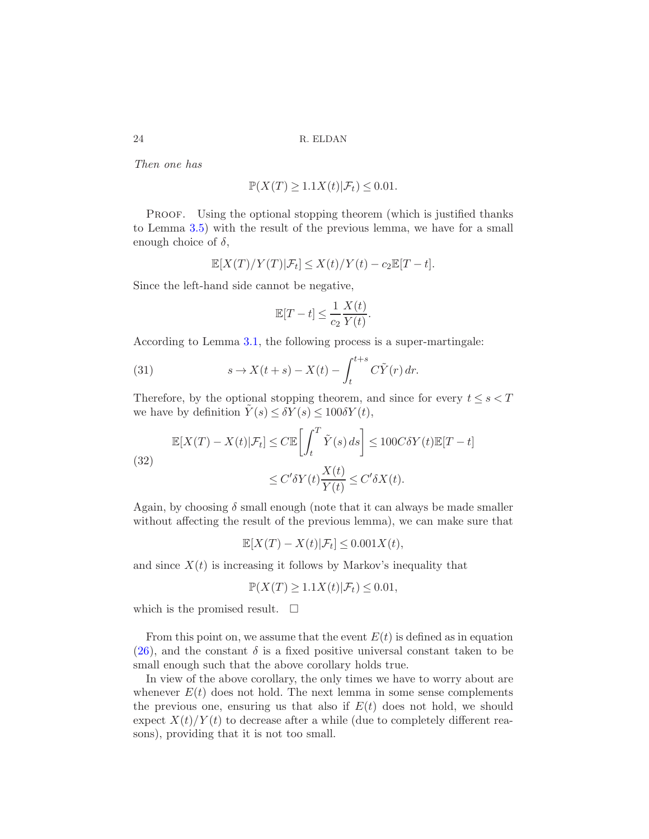Then one has

$$
\mathbb{P}(X(T) \ge 1.1X(t)|\mathcal{F}_t) \le 0.01.
$$

PROOF. Using the optional stopping theorem (which is justified thanks to Lemma [3.5\)](#page-18-0) with the result of the previous lemma, we have for a small enough choice of  $\delta$ ,

$$
\mathbb{E}[X(T)/Y(T)|\mathcal{F}_t] \le X(t)/Y(t) - c_2 \mathbb{E}[T-t].
$$

Since the left-hand side cannot be negative,

$$
\mathbb{E}[T-t] \le \frac{1}{c_2} \frac{X(t)}{Y(t)}.
$$

According to Lemma [3.1,](#page-11-1) the following process is a super-martingale:

(31) 
$$
s \to X(t+s) - X(t) - \int_{t}^{t+s} C\tilde{Y}(r) dr.
$$

Therefore, by the optional stopping theorem, and since for every  $t \leq s < T$ we have by definition  $\overline{Y}(s) \leq \delta Y(s) \leq 100 \delta Y(t)$ ,

(32)  
\n
$$
\mathbb{E}[X(T) - X(t)|\mathcal{F}_t] \le C \mathbb{E}\left[\int_t^T \tilde{Y}(s) ds\right] \le 100C\delta Y(t)\mathbb{E}[T-t]
$$
\n
$$
\le C'\delta Y(t)\frac{X(t)}{Y(t)} \le C'\delta X(t).
$$

Again, by choosing  $\delta$  small enough (note that it can always be made smaller without affecting the result of the previous lemma), we can make sure that

$$
\mathbb{E}[X(T) - X(t)|\mathcal{F}_t] \le 0.001X(t),
$$

and since  $X(t)$  is increasing it follows by Markov's inequality that

$$
\mathbb{P}(X(T) \ge 1.1X(t)|\mathcal{F}_t) \le 0.01,
$$

which is the promised result.  $\square$ 

From this point on, we assume that the event  $E(t)$  is defined as in equation [\(26\)](#page-21-4), and the constant  $\delta$  is a fixed positive universal constant taken to be small enough such that the above corollary holds true.

<span id="page-23-0"></span>In view of the above corollary, the only times we have to worry about are whenever  $E(t)$  does not hold. The next lemma in some sense complements the previous one, ensuring us that also if  $E(t)$  does not hold, we should expect  $X(t)/Y(t)$  to decrease after a while (due to completely different reasons), providing that it is not too small.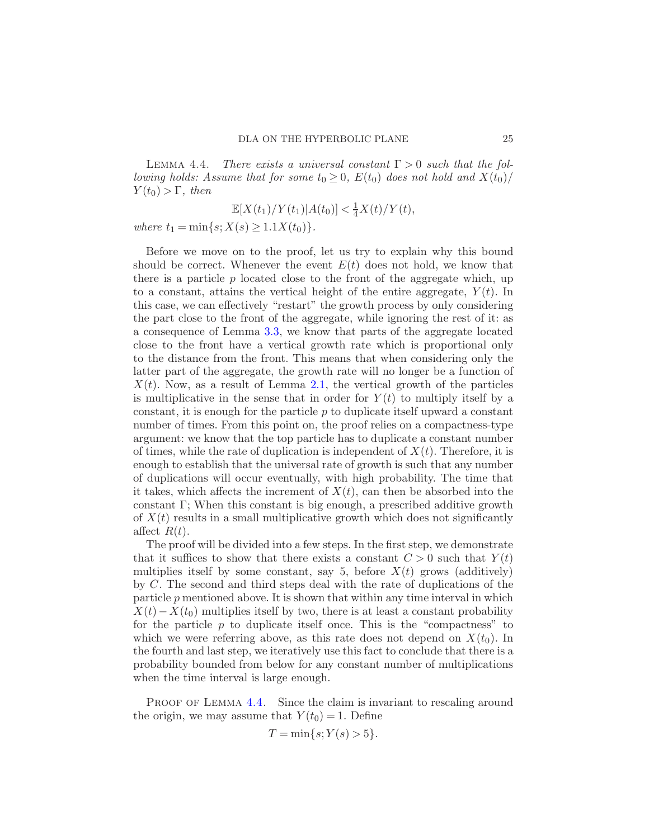LEMMA 4.4. There exists a universal constant  $\Gamma > 0$  such that the following holds: Assume that for some  $t_0 \geq 0$ ,  $E(t_0)$  does not hold and  $X(t_0)/$  $Y(t_0) > \Gamma$ , then

$$
\mathbb{E}[X(t_1)/Y(t_1)|A(t_0)] < \frac{1}{4}X(t)/Y(t),
$$

where  $t_1 = \min\{s; X(s) \geq 1.1X(t_0)\}.$ 

Before we move on to the proof, let us try to explain why this bound should be correct. Whenever the event  $E(t)$  does not hold, we know that there is a particle  $p$  located close to the front of the aggregate which, up to a constant, attains the vertical height of the entire aggregate,  $Y(t)$ . In this case, we can effectively "restart" the growth process by only considering the part close to the front of the aggregate, while ignoring the rest of it: as a consequence of Lemma [3.3,](#page-14-2) we know that parts of the aggregate located close to the front have a vertical growth rate which is proportional only to the distance from the front. This means that when considering only the latter part of the aggregate, the growth rate will no longer be a function of  $X(t)$ . Now, as a result of Lemma [2.1,](#page-6-2) the vertical growth of the particles is multiplicative in the sense that in order for  $Y(t)$  to multiply itself by a constant, it is enough for the particle  $p$  to duplicate itself upward a constant number of times. From this point on, the proof relies on a compactness-type argument: we know that the top particle has to duplicate a constant number of times, while the rate of duplication is independent of  $X(t)$ . Therefore, it is enough to establish that the universal rate of growth is such that any number of duplications will occur eventually, with high probability. The time that it takes, which affects the increment of  $X(t)$ , can then be absorbed into the constant Γ; When this constant is big enough, a prescribed additive growth of  $X(t)$  results in a small multiplicative growth which does not significantly affect  $R(t)$ .

The proof will be divided into a few steps. In the first step, we demonstrate that it suffices to show that there exists a constant  $C > 0$  such that  $Y(t)$ multiplies itself by some constant, say 5, before  $X(t)$  grows (additively) by C. The second and third steps deal with the rate of duplications of the particle  $p$  mentioned above. It is shown that within any time interval in which  $X(t) - X(t_0)$  multiplies itself by two, there is at least a constant probability for the particle  $p$  to duplicate itself once. This is the "compactness" to which we were referring above, as this rate does not depend on  $X(t_0)$ . In the fourth and last step, we iteratively use this fact to conclude that there is a probability bounded from below for any constant number of multiplications when the time interval is large enough.

PROOF OF LEMMA [4.4.](#page-23-0) Since the claim is invariant to rescaling around the origin, we may assume that  $Y(t_0) = 1$ . Define

$$
T = \min\{s; Y(s) > 5\}.
$$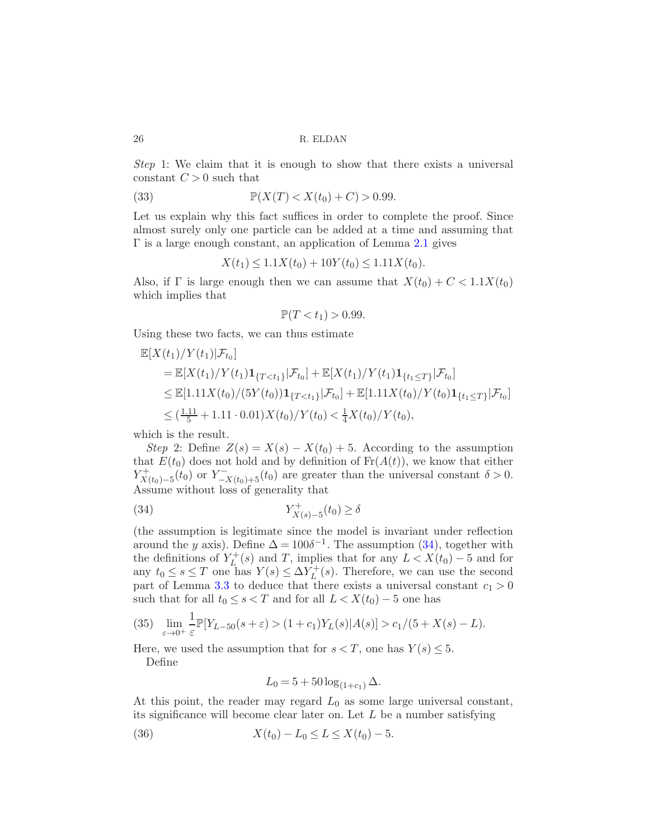Step 1: We claim that it is enough to show that there exists a universal constant  $C > 0$  such that

(33) 
$$
\mathbb{P}(X(T) < X(t_0) + C) > 0.99.
$$

Let us explain why this fact suffices in order to complete the proof. Since almost surely only one particle can be added at a time and assuming that Γ is a large enough constant, an application of Lemma [2.1](#page-6-2) gives

<span id="page-25-2"></span>
$$
X(t_1) \le 1.1X(t_0) + 10Y(t_0) \le 1.11X(t_0).
$$

Also, if  $\Gamma$  is large enough then we can assume that  $X(t_0) + C < 1.1X(t_0)$ which implies that

$$
\mathbb{P}(T < t_1) > 0.99.
$$

Using these two facts, we can thus estimate

$$
\mathbb{E}[X(t_1)/Y(t_1)|\mathcal{F}_{t_0}]
$$
\n
$$
= \mathbb{E}[X(t_1)/Y(t_1)\mathbf{1}_{\{T\n
$$
\leq \mathbb{E}[1.11X(t_0)/(5Y(t_0))\mathbf{1}_{\{T\n
$$
\leq (\frac{1.11}{5} + 1.11 \cdot 0.01)X(t_0)/Y(t_0) < \frac{1}{4}X(t_0)/Y(t_0),
$$
$$
$$

which is the result.

Step 2: Define  $Z(s) = X(s) - X(t_0) + 5$ . According to the assumption that  $E(t_0)$  does not hold and by definition of  $F(A(t))$ , we know that either  $Y_{X}^+$  $X(t<sub>0</sub>)-5(t<sub>0</sub>)$  or  $Y<sup>-</sup><sub>-X(t<sub>0</sub>)+5</sub>(t<sub>0</sub>)$  are greater than the universal constant δ > 0. Assume without loss of generality that

<span id="page-25-0"></span>
$$
(34) \t\t Y^+_{X(s)-5}(t_0) \ge \delta
$$

(the assumption is legitimate since the model is invariant under reflection around the y axis). Define  $\Delta = 100\delta^{-1}$ . The assumption [\(34\)](#page-25-0), together with the definitions of  $Y_L^+$  $L^+(s)$  and T, implies that for any  $L < X(t_0) - 5$  and for any  $t_0 \leq s \leq T$  one has  $Y(s) \leq \Delta Y_L^+$  $L^+(s)$ . Therefore, we can use the second part of Lemma [3.3](#page-14-2) to deduce that there exists a universal constant  $c_1 > 0$ such that for all  $t_0 \leq s < T$  and for all  $L < X(t_0) - 5$  one has

<span id="page-25-1"></span>(35) 
$$
\lim_{\varepsilon \to 0^+} \frac{1}{\varepsilon} \mathbb{P}[Y_{L-50}(s+\varepsilon) > (1+c_1)Y_L(s)|A(s)] > c_1/(5+X(s)-L).
$$

Here, we used the assumption that for  $s < T$ , one has  $Y(s) \leq 5$ . Define

<span id="page-25-3"></span>
$$
L_0 = 5 + 50 \log_{(1+c_1)} \Delta.
$$

At this point, the reader may regard  $L_0$  as some large universal constant, its significance will become clear later on. Let  $L$  be a number satisfying

(36) 
$$
X(t_0) - L_0 \le L \le X(t_0) - 5.
$$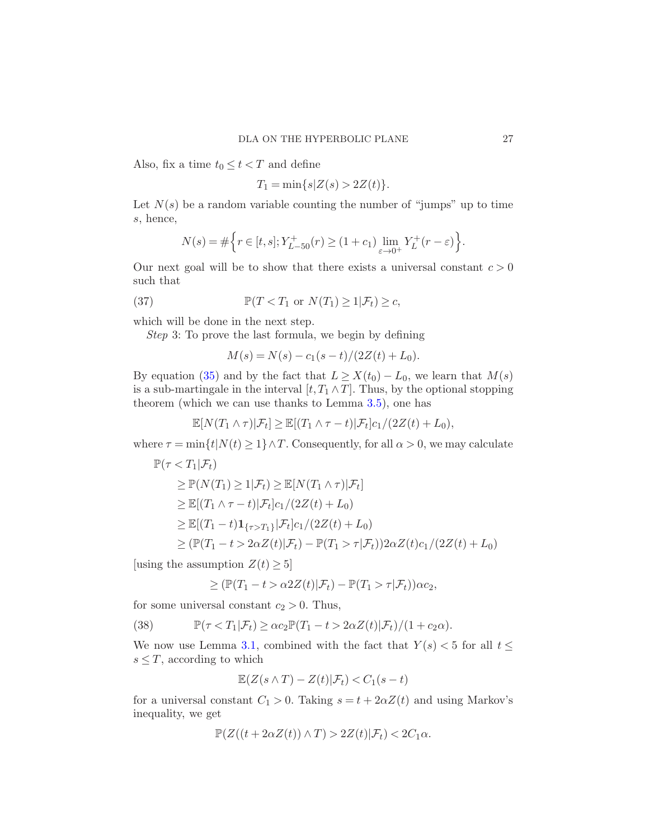Also, fix a time  $t_0 \leq t < T$  and define

$$
T_1 = \min\{s|Z(s) > 2Z(t)\}.
$$

Let  $N(s)$  be a random variable counting the number of "jumps" up to time s, hence,

$$
N(s) = \# \left\{ r \in [t, s]; Y_{L-50}^+(r) \ge (1 + c_1) \lim_{\varepsilon \to 0^+} Y_L^+(r - \varepsilon) \right\}.
$$

Our next goal will be to show that there exists a universal constant  $c > 0$ such that

(37) 
$$
\mathbb{P}(T < T_1 \text{ or } N(T_1) \ge 1 | \mathcal{F}_t) \ge c,
$$

which will be done in the next step.

Step 3: To prove the last formula, we begin by defining

<span id="page-26-1"></span>
$$
M(s) = N(s) - c_1(s - t)/(2Z(t) + L_0).
$$

By equation [\(35\)](#page-25-1) and by the fact that  $L \ge X(t_0) - L_0$ , we learn that  $M(s)$ is a sub-martingale in the interval  $[t, T_1 \wedge T]$ . Thus, by the optional stopping theorem (which we can use thanks to Lemma [3.5\)](#page-18-0), one has

$$
\mathbb{E}[N(T_1 \wedge \tau)|\mathcal{F}_t] \ge \mathbb{E}[(T_1 \wedge \tau - t)|\mathcal{F}_t]c_1/(2Z(t) + L_0),
$$

where  $\tau = \min\{t | N(t) \geq 1\} \wedge T$ . Consequently, for all  $\alpha > 0$ , we may calculate

$$
\mathbb{P}(\tau < T_1 | \mathcal{F}_t) \\
\geq \mathbb{P}(N(T_1) \geq 1 | \mathcal{F}_t) \geq \mathbb{E}[N(T_1 \wedge \tau) | \mathcal{F}_t] \\
\geq \mathbb{E}[(T_1 \wedge \tau - t) | \mathcal{F}_t] c_1 / (2Z(t) + L_0) \\
\geq \mathbb{E}[(T_1 - t) \mathbf{1}_{\{\tau > T_1\}} | \mathcal{F}_t] c_1 / (2Z(t) + L_0) \\
\geq (\mathbb{P}(T_1 - t) \geq 2\alpha Z(t) | \mathcal{F}_t) - \mathbb{P}(T_1 > \tau | \mathcal{F}_t)) 2\alpha Z(t) c_1 / (2Z(t) + L_0)
$$

[using the assumption  $Z(t) \geq 5$ ]

<span id="page-26-0"></span>
$$
\geq (\mathbb{P}(T_1 - t > \alpha 2Z(t)|\mathcal{F}_t) - \mathbb{P}(T_1 > \tau|\mathcal{F}_t))\alpha c_2,
$$

for some universal constant  $c_2 > 0$ . Thus,

(38) 
$$
\mathbb{P}(\tau < T_1|\mathcal{F}_t) \geq \alpha c_2 \mathbb{P}(T_1 - t > 2\alpha Z(t)|\mathcal{F}_t)/(1 + c_2 \alpha).
$$

We now use Lemma [3.1,](#page-11-1) combined with the fact that  $Y(s) < 5$  for all  $t \leq$  $s \leq T$ , according to which

$$
\mathbb{E}(Z(s \wedge T) - Z(t)|\mathcal{F}_t) < C_1(s - t)
$$

for a universal constant  $C_1 > 0$ . Taking  $s = t + 2\alpha Z(t)$  and using Markov's inequality, we get

$$
\mathbb{P}(Z((t+2\alpha Z(t))\wedge T)>2Z(t)|\mathcal{F}_t)<2C_1\alpha.
$$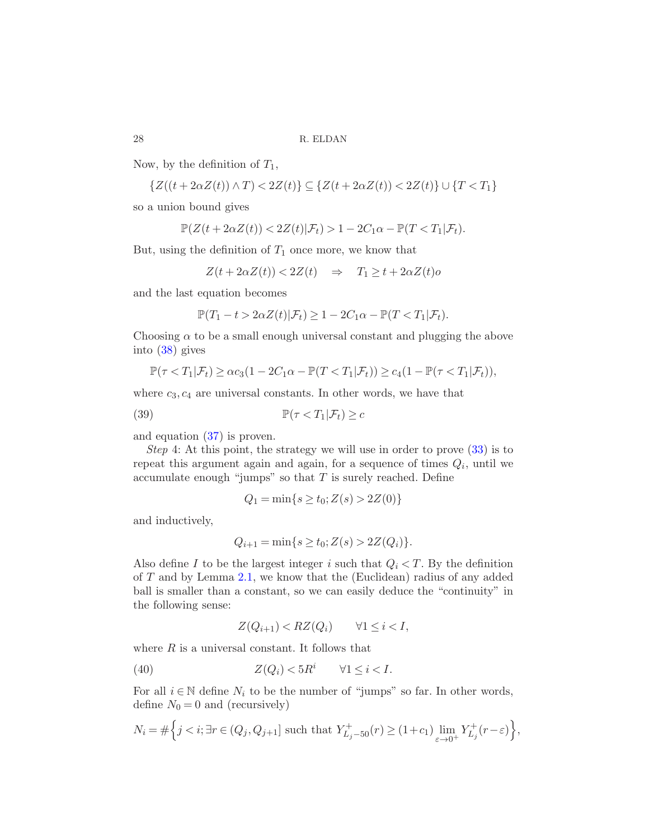Now, by the definition of  $T_1$ ,

$$
\{Z((t+2\alpha Z(t))\wedge T)<2Z(t)\}\subseteq \{Z(t+2\alpha Z(t))<2Z(t)\}\cup\{T
$$

so a union bound gives

$$
\mathbb{P}(Z(t+2\alpha Z(t)) < 2Z(t)|\mathcal{F}_t) > 1 - 2C_1\alpha - \mathbb{P}(T < T_1|\mathcal{F}_t).
$$

But, using the definition of  $T_1$  once more, we know that

$$
Z(t + 2\alpha Z(t)) < 2Z(t) \quad \Rightarrow \quad T_1 \ge t + 2\alpha Z(t) o
$$

and the last equation becomes

$$
\mathbb{P}(T_1 - t > 2\alpha Z(t)|\mathcal{F}_t) \ge 1 - 2C_1\alpha - \mathbb{P}(T < T_1|\mathcal{F}_t).
$$

Choosing  $\alpha$  to be a small enough universal constant and plugging the above into [\(38\)](#page-26-0) gives

$$
\mathbb{P}(\tau < T_1 | \mathcal{F}_t) \geq \alpha c_3 (1 - 2C_1 \alpha - \mathbb{P}(T < T_1 | \mathcal{F}_t)) \geq c_4 (1 - \mathbb{P}(\tau < T_1 | \mathcal{F}_t)),
$$

where  $c_3, c_4$  are universal constants. In other words, we have that

(39) 
$$
\mathbb{P}(\tau < T_1 | \mathcal{F}_t) \geq c
$$

and equation [\(37\)](#page-26-1) is proven.

Step 4: At this point, the strategy we will use in order to prove  $(33)$  is to repeat this argument again and again, for a sequence of times  $Q_i$ , until we accumulate enough "jumps" so that  $T$  is surely reached. Define

$$
Q_1 = \min\{s \ge t_0; Z(s) > 2Z(0)\}
$$

and inductively,

$$
Q_{i+1} = \min\{s \ge t_0; Z(s) > 2Z(Q_i)\}.
$$

Also define I to be the largest integer i such that  $Q_i < T$ . By the definition of T and by Lemma [2.1,](#page-6-2) we know that the (Euclidean) radius of any added ball is smaller than a constant, so we can easily deduce the "continuity" in the following sense:

<span id="page-27-0"></span>
$$
Z(Q_{i+1}) < RZ(Q_i) \qquad \forall 1 \le i < I,
$$

where  $R$  is a universal constant. It follows that

(40) 
$$
Z(Q_i) < 5R^i \quad \forall 1 \leq i < I.
$$

For all  $i \in \mathbb{N}$  define  $N_i$  to be the number of "jumps" so far. In other words, define  $N_0 = 0$  and (recursively)

$$
N_i = \# \Big\{ j < i; \exists r \in (Q_j, Q_{j+1}] \text{ such that } Y^+_{L_j - 50}(r) \ge (1 + c_1) \lim_{\varepsilon \to 0^+} Y^+_{L_j}(r - \varepsilon) \Big\},\
$$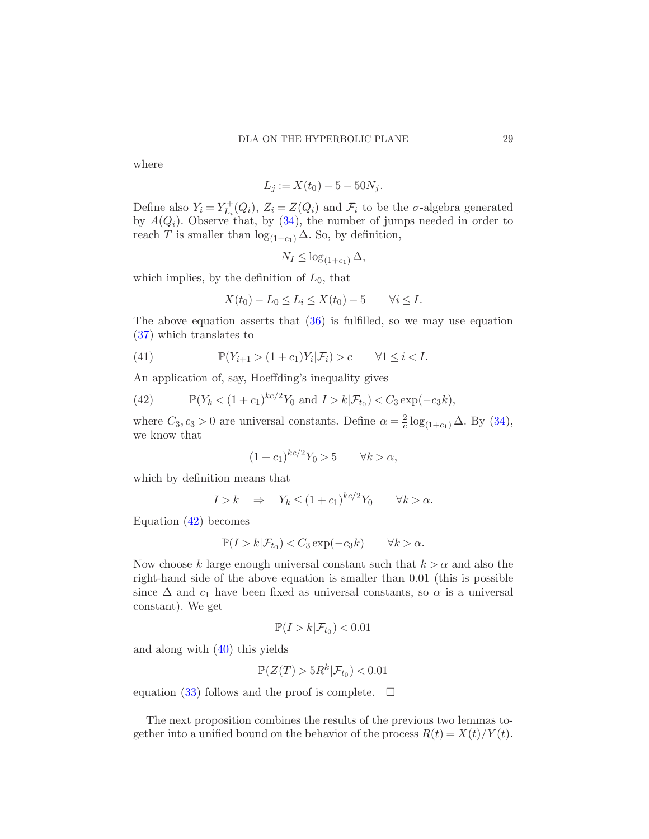where

$$
L_j := X(t_0) - 5 - 50N_j.
$$

Define also  $Y_i = Y_{L_i}^+$  $\mathcal{L}_{L_i}^+(Q_i)$ ,  $Z_i = Z(Q_i)$  and  $\mathcal{F}_i$  to be the  $\sigma$ -algebra generated by  $A(Q_i)$ . Observe that, by [\(34\)](#page-25-0), the number of jumps needed in order to reach T is smaller than  $log_{(1+c_1)} \Delta$ . So, by definition,

$$
N_I \leq \log_{(1+c_1)} \Delta,
$$

which implies, by the definition of  $L_0$ , that

$$
X(t_0) - L_0 \le L_i \le X(t_0) - 5 \qquad \forall i \le I.
$$

The above equation asserts that  $(36)$  is fulfilled, so we may use equation [\(37\)](#page-26-1) which translates to

(41) 
$$
\mathbb{P}(Y_{i+1} > (1+c_1)Y_i|\mathcal{F}_i) > c \qquad \forall 1 \leq i < I.
$$

An application of, say, Hoeffding's inequality gives

<span id="page-28-0"></span>(42) 
$$
\mathbb{P}(Y_k < (1+c_1)^{kc/2}Y_0 \text{ and } I > k|\mathcal{F}_{t_0}) < C_3 \exp(-c_3k),
$$

where  $C_3, c_3 > 0$  are universal constants. Define  $\alpha = \frac{2}{c}$  $\frac{2}{c} \log_{(1+c_1)} \Delta$ . By  $(34)$ , we know that

$$
(1+c_1)^{kc/2}Y_0 > 5 \qquad \forall k > \alpha,
$$

which by definition means that

$$
I > k \quad \Rightarrow \quad Y_k \le (1 + c_1)^{kc/2} Y_0 \qquad \forall k > \alpha.
$$

Equation [\(42\)](#page-28-0) becomes

$$
\mathbb{P}(I > k | \mathcal{F}_{t_0}) < C_3 \exp(-c_3 k) \qquad \forall k > \alpha.
$$

Now choose k large enough universal constant such that  $k > \alpha$  and also the right-hand side of the above equation is smaller than 0.01 (this is possible since  $\Delta$  and  $c_1$  have been fixed as universal constants, so  $\alpha$  is a universal constant). We get

$$
\mathbb{P}(I > k | \mathcal{F}_{t_0}) < 0.01
$$

and along with [\(40\)](#page-27-0) this yields

$$
\mathbb{P}(Z(T) > 5R^k|\mathcal{F}_{t_0}) < 0.01
$$

equation [\(33\)](#page-25-2) follows and the proof is complete.  $\Box$ 

<span id="page-28-1"></span>The next proposition combines the results of the previous two lemmas together into a unified bound on the behavior of the process  $R(t) = X(t)/Y(t)$ .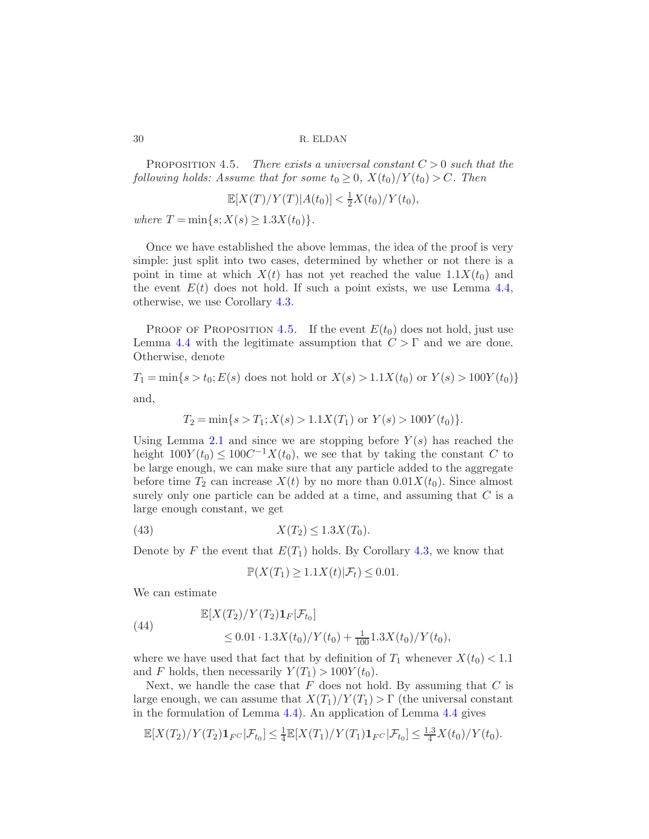PROPOSITION 4.5. There exists a universal constant  $C > 0$  such that the following holds: Assume that for some  $t_0 \geq 0$ ,  $X(t_0)/Y(t_0) > C$ . Then

$$
\mathbb{E}[X(T)/Y(T)|A(t_0)] < \frac{1}{2}X(t_0)/Y(t_0),
$$

where  $T = \min\{s; X(s) \geq 1.3X(t_0)\}.$ 

Once we have established the above lemmas, the idea of the proof is very simple: just split into two cases, determined by whether or not there is a point in time at which  $X(t)$  has not yet reached the value  $1.1X(t_0)$  and the event  $E(t)$  does not hold. If such a point exists, we use Lemma [4.4,](#page-23-0) otherwise, we use Corollary [4.3.](#page-22-0)

PROOF OF PROPOSITION [4.5.](#page-28-1) If the event  $E(t_0)$  does not hold, just use Lemma [4.4](#page-23-0) with the legitimate assumption that  $C > \Gamma$  and we are done. Otherwise, denote

 $T_1 = \min\{s > t_0; E(s) \text{ does not hold or } X(s) > 1.1X(t_0) \text{ or } Y(s) > 100Y(t_0)\}\$ and,

$$
T_2 = \min\{s > T_1; X(s) > 1.1X(T_1) \text{ or } Y(s) > 100Y(t_0)\}.
$$

Using Lemma [2.1](#page-6-2) and since we are stopping before  $Y(s)$  has reached the height  $100Y(t_0) \le 100C^{-1}X(t_0)$ , we see that by taking the constant C to be large enough, we can make sure that any particle added to the aggregate before time  $T_2$  can increase  $X(t)$  by no more than  $0.01X(t_0)$ . Since almost surely only one particle can be added at a time, and assuming that  $C$  is a large enough constant, we get

(43) 
$$
X(T_2) \le 1.3X(T_0).
$$

Denote by F the event that  $E(T_1)$  holds. By Corollary [4.3,](#page-22-0) we know that

<span id="page-29-1"></span>
$$
\mathbb{P}(X(T_1) \ge 1.1X(t)|\mathcal{F}_t) \le 0.01.
$$

We can estimate

<span id="page-29-0"></span>(44)  
\n
$$
\mathbb{E}[X(T_2)/Y(T_2)\mathbf{1}_F|\mathcal{F}_{t_0}]
$$
\n
$$
\leq 0.01 \cdot 1.3X(t_0)/Y(t_0) + \frac{1}{100}1.3X(t_0)/Y(t_0),
$$

where we have used that fact that by definition of  $T_1$  whenever  $X(t_0) < 1.1$ and F holds, then necessarily  $Y(T_1) > 100Y(t_0)$ .

Next, we handle the case that  $F$  does not hold. By assuming that  $C$  is large enough, we can assume that  $X(T_1)/Y(T_1) > \Gamma$  (the universal constant in the formulation of Lemma [4.4\)](#page-23-0). An application of Lemma [4.4](#page-23-0) gives

$$
\mathbb{E}[X(T_2)/Y(T_2)\mathbf{1}_{F^C}|\mathcal{F}_{t_0}]\leq \frac{1}{4}\mathbb{E}[X(T_1)/Y(T_1)\mathbf{1}_{F^C}|\mathcal{F}_{t_0}]\leq \frac{1.3}{4}X(t_0)/Y(t_0).
$$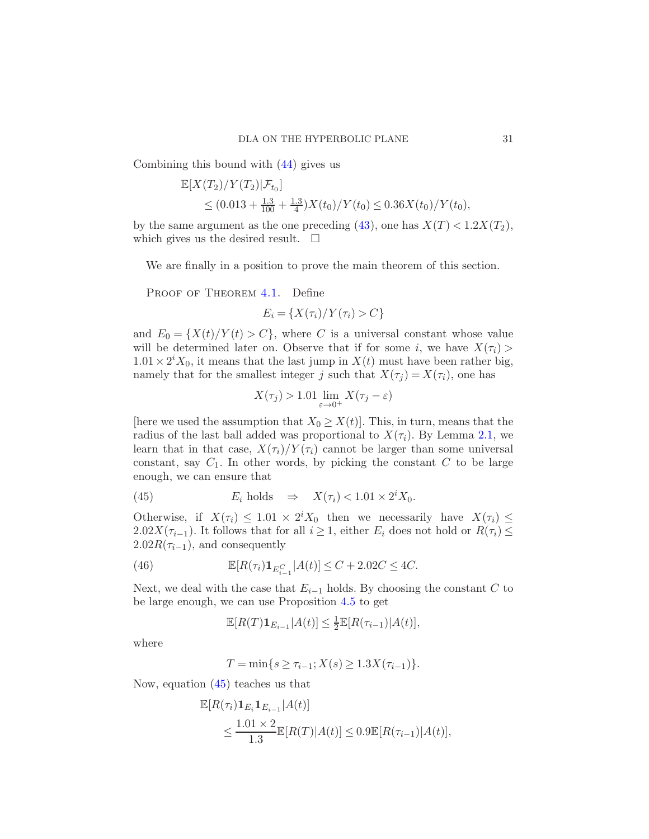Combining this bound with [\(44\)](#page-29-0) gives us

$$
\mathbb{E}[X(T_2)/Y(T_2)|\mathcal{F}_{t_0}]
$$
  
\n
$$
\leq (0.013 + \frac{1.3}{100} + \frac{1.3}{4})X(t_0)/Y(t_0) \leq 0.36X(t_0)/Y(t_0),
$$

by the same argument as the one preceding  $(43)$ , one has  $X(T) < 1.2X(T_2)$ , which gives us the desired result.  $\square$ 

We are finally in a position to prove the main theorem of this section.

PROOF OF THEOREM [4.1.](#page-21-5) Define

$$
E_i = \{X(\tau_i)/Y(\tau_i) > C\}
$$

and  $E_0 = \{X(t)/Y(t) > C\}$ , where C is a universal constant whose value will be determined later on. Observe that if for some i, we have  $X(\tau_i)$  $1.01 \times 2^{i} X_0$ , it means that the last jump in  $X(t)$  must have been rather big, namely that for the smallest integer j such that  $X(\tau_j) = X(\tau_i)$ , one has

$$
X(\tau_j) > 1.01 \lim_{\varepsilon \to 0^+} X(\tau_j - \varepsilon)
$$

[here we used the assumption that  $X_0 \geq X(t)$ ]. This, in turn, means that the radius of the last ball added was proportional to  $X(\tau_i)$ . By Lemma [2.1,](#page-6-2) we learn that in that case,  $X(\tau_i)/Y(\tau_i)$  cannot be larger than some universal constant, say  $C_1$ . In other words, by picking the constant  $C$  to be large enough, we can ensure that

<span id="page-30-0"></span>(45) 
$$
E_i \text{ holds} \Rightarrow X(\tau_i) < 1.01 \times 2^i X_0.
$$

Otherwise, if  $X(\tau_i) \leq 1.01 \times 2^i X_0$  then we necessarily have  $X(\tau_i) \leq$ 2.02 $X(\tau_{i-1})$ . It follows that for all  $i \geq 1$ , either  $E_i$  does not hold or  $R(\tau_i) \leq$  $2.02R(\tau_{i-1}),$  and consequently

(46) 
$$
\mathbb{E}[R(\tau_i)\mathbf{1}_{E_{i-1}^C}|A(t)] \leq C + 2.02C \leq 4C.
$$

Next, we deal with the case that  $E_{i-1}$  holds. By choosing the constant C to be large enough, we can use Proposition [4.5](#page-28-1) to get

<span id="page-30-1"></span>
$$
\mathbb{E}[R(T)\mathbf{1}_{E_{i-1}}|A(t)] \leq \frac{1}{2}\mathbb{E}[R(\tau_{i-1})|A(t)],
$$

where

$$
T = \min\{s \ge \tau_{i-1}; X(s) \ge 1.3X(\tau_{i-1})\}.
$$

Now, equation [\(45\)](#page-30-0) teaches us that

$$
\mathbb{E}[R(\tau_i)\mathbf{1}_{E_i}\mathbf{1}_{E_{i-1}}|A(t)]
$$
  
\n
$$
\leq \frac{1.01 \times 2}{1.3} \mathbb{E}[R(T)|A(t)] \leq 0.9 \mathbb{E}[R(\tau_{i-1})|A(t)],
$$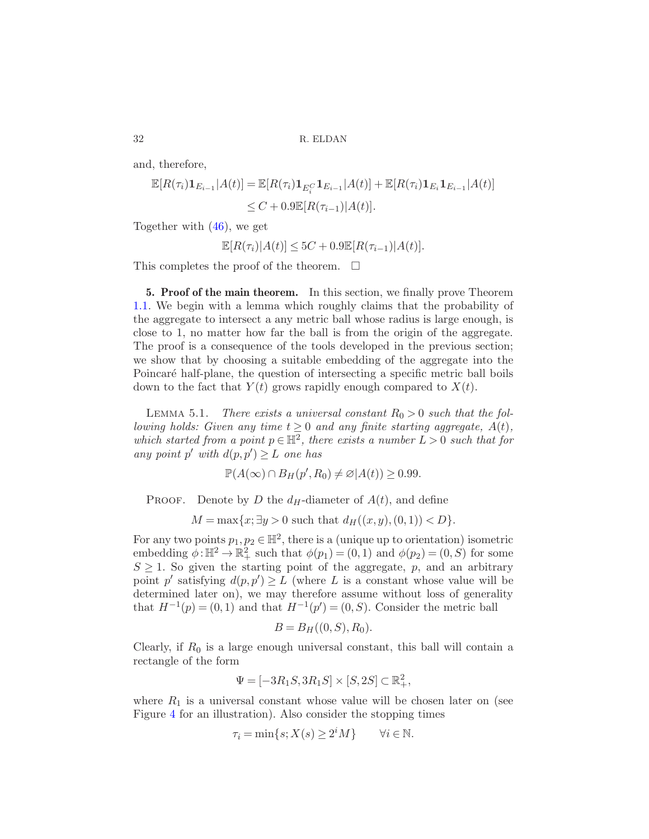and, therefore,

$$
\mathbb{E}[R(\tau_i)\mathbf{1}_{E_{i-1}}|A(t)] = \mathbb{E}[R(\tau_i)\mathbf{1}_{E_i^C}\mathbf{1}_{E_{i-1}}|A(t)] + \mathbb{E}[R(\tau_i)\mathbf{1}_{E_i}\mathbf{1}_{E_{i-1}}|A(t)]
$$
  
\n
$$
\leq C + 0.9\mathbb{E}[R(\tau_{i-1})|A(t)].
$$

Together with [\(46\)](#page-30-1), we get

$$
\mathbb{E}[R(\tau_i)|A(t)] \le 5C + 0.9\mathbb{E}[R(\tau_{i-1})|A(t)].
$$

<span id="page-31-0"></span>This completes the proof of the theorem.  $\Box$ 

5. Proof of the main theorem. In this section, we finally prove Theorem [1.1.](#page-2-1) We begin with a lemma which roughly claims that the probability of the aggregate to intersect a any metric ball whose radius is large enough, is close to 1, no matter how far the ball is from the origin of the aggregate. The proof is a consequence of the tools developed in the previous section; we show that by choosing a suitable embedding of the aggregate into the Poincaré half-plane, the question of intersecting a specific metric ball boils down to the fact that  $Y(t)$  grows rapidly enough compared to  $X(t)$ .

<span id="page-31-1"></span>LEMMA 5.1. There exists a universal constant  $R_0 > 0$  such that the following holds: Given any time  $t > 0$  and any finite starting aggregate,  $A(t)$ , which started from a point  $p \in \mathbb{H}^2$ , there exists a number  $L > 0$  such that for any point p' with  $d(p, p') \geq L$  one has

$$
\mathbb{P}(A(\infty) \cap B_H(p', R_0) \neq \varnothing | A(t)) \ge 0.99.
$$

PROOF. Denote by D the  $d_H$ -diameter of  $A(t)$ , and define

 $M = \max\{x; \exists y > 0 \text{ such that } d_H((x, y), (0, 1)) < D\}.$ 

For any two points  $p_1, p_2 \in \mathbb{H}^2$ , there is a (unique up to orientation) isometric embedding  $\phi:\mathbb{H}^2\to\mathbb{R}^2_+$  such that  $\phi(p_1)=(0,1)$  and  $\phi(p_2)=(0,S)$  for some  $S \geq 1$ . So given the starting point of the aggregate, p, and an arbitrary point p' satisfying  $d(p, p') \geq L$  (where L is a constant whose value will be determined later on), we may therefore assume without loss of generality that  $H^{-1}(p) = (0, 1)$  and that  $H^{-1}(p') = (0, S)$ . Consider the metric ball

$$
B=B_H((0, S), R_0).
$$

Clearly, if  $R_0$  is a large enough universal constant, this ball will contain a rectangle of the form

$$
\Psi = [-3R_1S, 3R_1S] \times [S, 2S] \subset \mathbb{R}^2_+,
$$

where  $R_1$  is a universal constant whose value will be chosen later on (see Figure [4](#page-32-0) for an illustration). Also consider the stopping times

$$
\tau_i = \min\{s; X(s) \ge 2^i M\} \qquad \forall i \in \mathbb{N}.
$$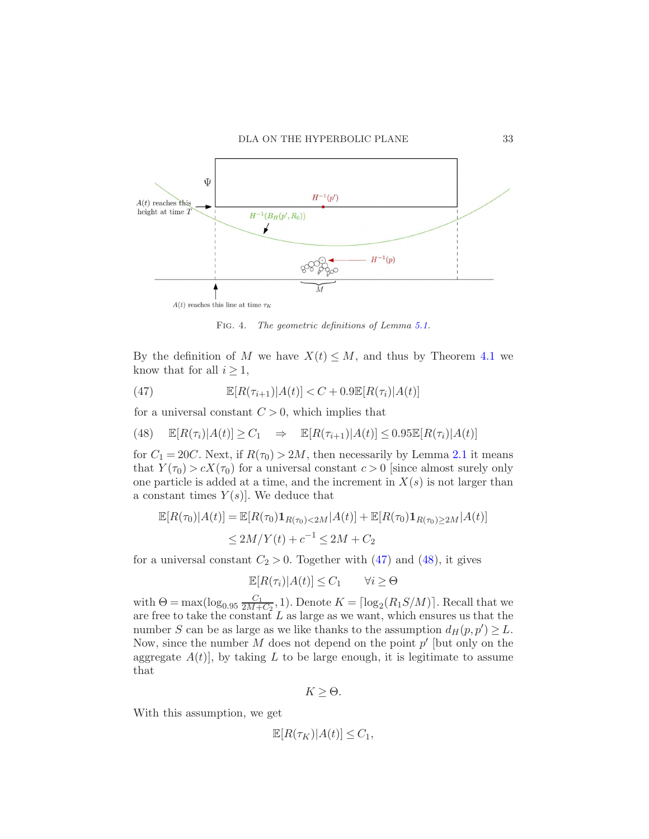

<span id="page-32-1"></span><span id="page-32-0"></span>Fig. 4. The geometric definitions of Lemma [5.1.](#page-31-1)

By the definition of M we have  $X(t) \leq M$ , and thus by Theorem [4.1](#page-21-5) we know that for all  $i \geq 1$ ,

(47) 
$$
\mathbb{E}[R(\tau_{i+1})|A(t)] < C + 0.9\mathbb{E}[R(\tau_i)|A(t)]
$$

for a universal constant  $C > 0$ , which implies that

<span id="page-32-2"></span>(48) 
$$
\mathbb{E}[R(\tau_i)|A(t)] \geq C_1 \Rightarrow \mathbb{E}[R(\tau_{i+1})|A(t)] \leq 0.95\mathbb{E}[R(\tau_i)|A(t)]
$$

for  $C_1 = 20C$ . Next, if  $R(\tau_0) > 2M$ , then necessarily by Lemma [2.1](#page-6-2) it means that  $Y(\tau_0) > cX(\tau_0)$  for a universal constant  $c > 0$  [since almost surely only one particle is added at a time, and the increment in  $X(s)$  is not larger than a constant times  $Y(s)$ . We deduce that

$$
\mathbb{E}[R(\tau_0)|A(t)] = \mathbb{E}[R(\tau_0)\mathbf{1}_{R(\tau_0) < 2M} |A(t)] + \mathbb{E}[R(\tau_0)\mathbf{1}_{R(\tau_0) \ge 2M} |A(t)]
$$
\n
$$
\le 2M/Y(t) + c^{-1} \le 2M + C_2
$$

for a universal constant  $C_2 > 0$ . Together with  $(47)$  and  $(48)$ , it gives

$$
\mathbb{E}[R(\tau_i)|A(t)] \le C_1 \qquad \forall i \ge \Theta
$$

with  $\Theta = \max(\log_{0.95} \frac{C_1}{2M+1})$  $\frac{C_1}{2M+C_2}$ , 1). Denote  $K = \lceil \log_2(R_1S/M) \rceil$ . Recall that we are free to take the constant  $L$  as large as we want, which ensures us that the number S can be as large as we like thanks to the assumption  $d_H(p, p') \geq L$ . Now, since the number  $M$  does not depend on the point  $p'$  [but only on the aggregate  $A(t)$ , by taking L to be large enough, it is legitimate to assume that

$$
K \geq \Theta.
$$

With this assumption, we get

$$
\mathbb{E}[R(\tau_K)|A(t)] \leq C_1,
$$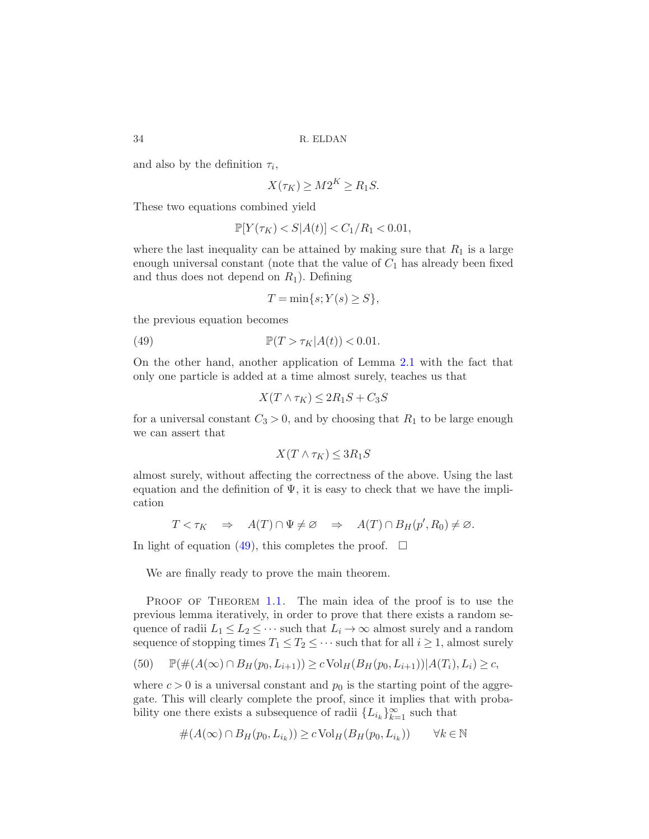and also by the definition  $\tau_i$ ,

$$
X(\tau_K) \ge M 2^K \ge R_1 S.
$$

These two equations combined yield

$$
\mathbb{P}[Y(\tau_K) < S|A(t)] < C_1/R_1 < 0.01,
$$

where the last inequality can be attained by making sure that  $R_1$  is a large enough universal constant (note that the value of  $C_1$  has already been fixed and thus does not depend on  $R_1$ ). Defining

<span id="page-33-0"></span>
$$
T = \min\{s; Y(s) \ge S\},\
$$

the previous equation becomes

(49) 
$$
\mathbb{P}(T > \tau_K | A(t)) < 0.01.
$$

On the other hand, another application of Lemma [2.1](#page-6-2) with the fact that only one particle is added at a time almost surely, teaches us that

$$
X(T \wedge \tau_K) \le 2R_1S + C_3S
$$

for a universal constant  $C_3 > 0$ , and by choosing that  $R_1$  to be large enough we can assert that

$$
X(T \wedge \tau_K) \le 3R_1S
$$

almost surely, without affecting the correctness of the above. Using the last equation and the definition of  $\Psi$ , it is easy to check that we have the implication

$$
T<\tau_K \quad \Rightarrow \quad A(T) \cap \Psi \neq \varnothing \quad \Rightarrow \quad A(T) \cap B_H(p', R_0) \neq \varnothing.
$$

In light of equation [\(49\)](#page-33-0), this completes the proof.  $\Box$ 

We are finally ready to prove the main theorem.

PROOF OF THEOREM [1.1.](#page-2-1) The main idea of the proof is to use the previous lemma iteratively, in order to prove that there exists a random sequence of radii  $L_1 \leq L_2 \leq \cdots$  such that  $L_i \to \infty$  almost surely and a random sequence of stopping times  $T_1 \leq T_2 \leq \cdots$  such that for all  $i \geq 1$ , almost surely

<span id="page-33-1"></span>
$$
(50) \quad \mathbb{P}(\#(A(\infty) \cap B_H(p_0, L_{i+1})) \ge c \operatorname{Vol}_H(B_H(p_0, L_{i+1})) | A(T_i), L_i) \ge c,
$$

where  $c > 0$  is a universal constant and  $p_0$  is the starting point of the aggregate. This will clearly complete the proof, since it implies that with probability one there exists a subsequence of radii  $\{L_{i_k}\}_{k=1}^{\infty}$  such that

$$
#(A(\infty) \cap B_H(p_0, L_{i_k})) \ge c \operatorname{Vol}_H(B_H(p_0, L_{i_k})) \qquad \forall k \in \mathbb{N}
$$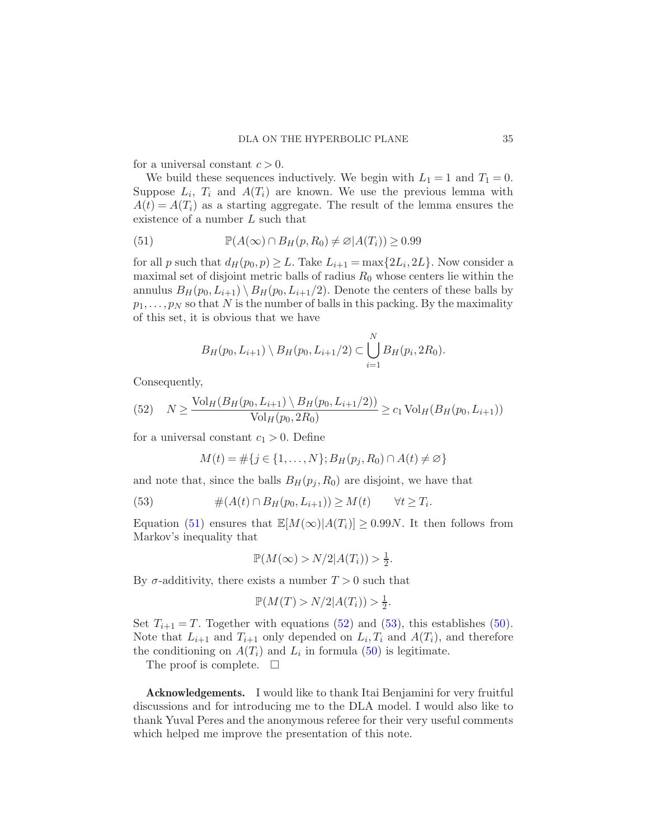for a universal constant  $c > 0$ .

We build these sequences inductively. We begin with  $L_1 = 1$  and  $T_1 = 0$ . Suppose  $L_i$ ,  $T_i$  and  $A(T_i)$  are known. We use the previous lemma with  $A(t) = A(T_i)$  as a starting aggregate. The result of the lemma ensures the existence of a number L such that

<span id="page-34-0"></span>(51) 
$$
\mathbb{P}(A(\infty) \cap B_H(p, R_0) \neq \varnothing | A(T_i)) \ge 0.99
$$

for all p such that  $d_H(p_0, p) \geq L$ . Take  $L_{i+1} = \max\{2L_i, 2L\}$ . Now consider a maximal set of disjoint metric balls of radius  $R_0$  whose centers lie within the annulus  $B_H(p_0, L_{i+1}) \setminus B_H(p_0, L_{i+1}/2)$ . Denote the centers of these balls by  $p_1, \ldots, p_N$  so that N is the number of balls in this packing. By the maximality of this set, it is obvious that we have

$$
B_H(p_0, L_{i+1}) \setminus B_H(p_0, L_{i+1}/2) \subset \bigcup_{i=1}^N B_H(p_i, 2R_0).
$$

Consequently,

<span id="page-34-1"></span>(52) 
$$
N \ge \frac{\text{Vol}_H(B_H(p_0, L_{i+1}) \setminus B_H(p_0, L_{i+1}/2))}{\text{Vol}_H(p_0, 2R_0)} \ge c_1 \text{Vol}_H(B_H(p_0, L_{i+1}))
$$

for a universal constant  $c_1 > 0$ . Define

<span id="page-34-2"></span> $M(t) = #\{j \in \{1, \ldots, N\}; B_H(p_j, R_0) \cap A(t) \neq \emptyset\}$ 

and note that, since the balls  $B_H(p_i, R_0)$  are disjoint, we have that

(53) 
$$
\#(A(t) \cap B_H(p_0, L_{i+1})) \geq M(t) \qquad \forall t \geq T_i.
$$

Equation [\(51\)](#page-34-0) ensures that  $\mathbb{E}[M(\infty)|A(T_i)] \geq 0.99N$ . It then follows from Markov's inequality that

$$
\mathbb{P}(M(\infty) > N/2|A(T_i)) > \frac{1}{2}.
$$

By  $\sigma$ -additivity, there exists a number  $T > 0$  such that

$$
\mathbb{P}(M(T) > N/2|A(T_i)) > \frac{1}{2}.
$$

Set  $T_{i+1} = T$ . Together with equations [\(52\)](#page-34-1) and [\(53\)](#page-34-2), this establishes [\(50\)](#page-33-1). Note that  $L_{i+1}$  and  $T_{i+1}$  only depended on  $L_i$ ,  $T_i$  and  $A(T_i)$ , and therefore the conditioning on  $A(T_i)$  and  $L_i$  in formula [\(50\)](#page-33-1) is legitimate.

The proof is complete.  $\Box$ 

Acknowledgements. I would like to thank Itai Benjamini for very fruitful discussions and for introducing me to the DLA model. I would also like to thank Yuval Peres and the anonymous referee for their very useful comments which helped me improve the presentation of this note.